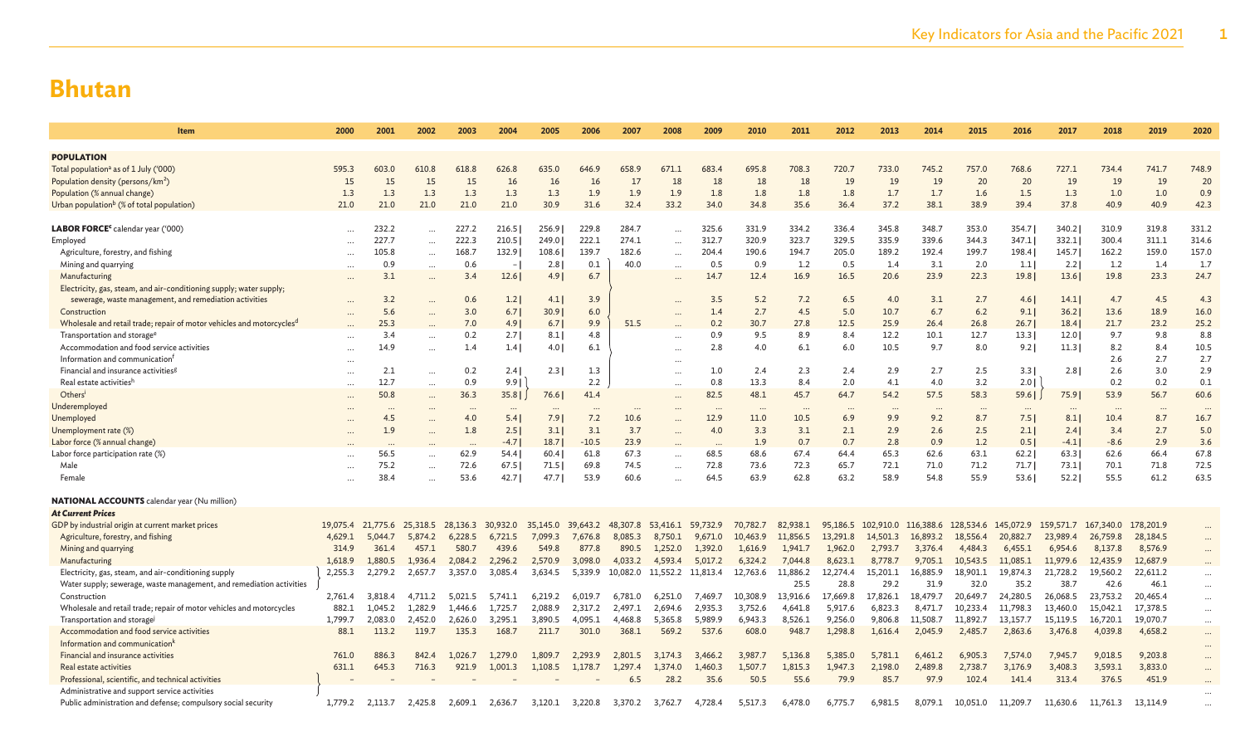| <b>Item</b>                                                                       | 2000      | 2001              | 2002      | 2003     | 2004                     | 2005     | 2006     | 2007     | 2008                       | 2009    | 2010     | 2011     | 2012     | 2013                | 2014     | 2015      | 2016      | 2017      | 2018      | 2019      | 2020     |
|-----------------------------------------------------------------------------------|-----------|-------------------|-----------|----------|--------------------------|----------|----------|----------|----------------------------|---------|----------|----------|----------|---------------------|----------|-----------|-----------|-----------|-----------|-----------|----------|
|                                                                                   |           |                   |           |          |                          |          |          |          |                            |         |          |          |          |                     |          |           |           |           |           |           |          |
| <b>POPULATION</b>                                                                 |           |                   |           |          |                          |          |          |          |                            |         |          |          |          |                     |          |           |           |           |           |           |          |
| Total population <sup>a</sup> as of 1 July ('000)                                 | 595.3     | 603.0             | 610.8     | 618.8    | 626.8                    | 635.0    | 646.9    | 658.9    | 671.1                      | 683.4   | 695.8    | 708.3    | 720.7    | 733.0               | 745.2    | 757.0     | 768.6     | 727.1     | 734.4     | 741.7     | 748.9    |
| Population density (persons/km <sup>2</sup> )                                     | 15        | 15                | 15        | 15       | 16                       | 16       | 16       | 17       | 18                         | 18      | 18       | 18       | 19       | 19                  | 19       | 20        | 20        | 19        | 19        | 19        | 20       |
| Population (% annual change)                                                      | 1.3       | 1.3               | 1.3       | 1.3      | 1.3                      | 1.3      | 1.9      | 1.9      | 1.9                        | 1.8     | 1.8      | 1.8      | 1.8      | 1.7                 | 1.7      | 1.6       | 1.5       | 1.3       | 1.0       | 1.0       | 0.9      |
| Urban population <sup>b</sup> (% of total population)                             | 21.0      | 21.0              | 21.0      | 21.0     | 21.0                     | 30.9     | 31.6     | 32.4     | 33.2                       | 34.0    | 34.8     | 35.6     | 36.4     | 37.2                | 38.1     | 38.9      | 39.4      | 37.8      | 40.9      | 40.9      | 42.3     |
|                                                                                   |           |                   |           |          |                          |          |          |          |                            |         |          |          |          |                     |          |           |           |           |           |           |          |
| LABOR FORCE <sup>c</sup> calendar year ('000)                                     | $\ddotsc$ | 232.2             | $\ddotsc$ | 227.2    | 216.5                    | 256.9    | 229.8    | 284.7    | $\ddotsc$                  | 325.6   | 331.9    | 334.2    | 336.4    | 345.8               | 348.7    | 353.0     | 354.7     | 340.2     | 310.9     | 319.8     | 331.2    |
| Employed                                                                          | $\cdots$  | 227.7             | $\cdots$  | 222.3    | 210.5                    | 249.0    | 222.1    | 274.1    | $\ddotsc$                  | 312.7   | 320.9    | 323.7    | 329.5    | 335.9               | 339.6    | 344.3     | 347.1     | 332.1     | 300.4     | 311.1     | 314.6    |
| Agriculture, forestry, and fishing                                                | $\ddotsc$ | 105.8             | $\cdots$  | 168.7    | 132.9                    | 108.6    | 139.7    | 182.6    | $\sim$                     | 204.4   | 190.6    | 194.7    | 205.0    | 189.2               | 192.4    | 199.7     | 198.4     | 145.7     | 162.2     | 159.0     | 157.0    |
| Mining and quarrying                                                              | $\cdots$  | 0.9               | $\cdots$  | 0.6      | $\overline{\phantom{a}}$ | 2.8      | 0.1      | 40.0     | $\ddots$                   | 0.5     | 0.9      | 1.2      | 0.5      | 1.4                 | 3.1      | 2.0       | 1.1       | 2.2       | 1.2       | 1.4       | 1.7      |
| Manufacturing                                                                     |           | 3.1               | $\cdots$  | 3.4      | 12.6                     | 4.91     | 6.7      |          | $\cdots$                   | 14.7    | 12.4     | 16.9     | 16.5     | 20.6                | 23.9     | 22.3      | 19.8      | 13.6      | 19.8      | 23.3      | 24.7     |
| Electricity, gas, steam, and air-conditioning supply; water supply;               |           |                   |           |          |                          |          |          |          |                            |         |          |          |          |                     |          |           |           |           |           |           |          |
| sewerage, waste management, and remediation activities                            |           | 3.2               |           | 0.6      | 1.2                      | 4.1      | 3.9      |          |                            | 3.5     | 5.2      | 7.2      | 6.5      | 4.0                 | 3.1      | 2.7       | 4.6       | 14.1      | 4.7       | 4.5       | 4.3      |
| Construction                                                                      |           | 5.6               |           | 3.0      | 6.7                      | 30.9     | 6.0      |          |                            | 1.4     | 2.7      | 4.5      | 5.0      | 10.7                | 6.7      | 6.2       | 9.1       | 36.2      | 13.6      | 18.9      | 16.0     |
| Wholesale and retail trade; repair of motor vehicles and motorcycles <sup>d</sup> |           | 25.3              |           | 7.0      | 4.91                     | 6.7      | 9.9      | 51.5     |                            | 0.2     | 30.7     | 27.8     | 12.5     | 25.9                | 26.4     | 26.8      | 26.7      | 18.4      | 21.7      | 23.2      | 25.2     |
| Transportation and storage <sup>e</sup>                                           | $\cdots$  | 3.4               | $\ddots$  | 0.2      | 2.71                     | 8.1      | 4.8      |          | $\ddots$                   | 0.9     | 9.5      | 8.9      | 8.4      | 12.2                | 10.1     | 12.7      | 13.3      | 12.0      | 9.7       | 9.8       | 8.8      |
| Accommodation and food service activities                                         | $\ldots$  | 14.9              | $\ddots$  | 1.4      | 1.4                      | 4.0      | 6.1      |          | $\ddots$                   | 2.8     | 4.0      | 6.1      | 6.0      | 10.5                | 9.7      | 8.0       | 9.2       | 11.3      | 8.2       | 8.4       | 10.5     |
| Information and communication <sup>1</sup>                                        | $\cdots$  |                   |           |          |                          |          |          |          | $\cdots$                   |         |          |          |          |                     |          |           |           |           | 2.6       | 2.7       | 2.7      |
| Financial and insurance activities <sup>g</sup>                                   | $\ddots$  | 2.1               | $\cdots$  | 0.2      | 2.4                      | 2.3      | 1.3      |          | $\ddotsc$                  | 1.0     | 2.4      | 2.3      | 2.4      | 2.9                 | 2.7      | 2.5       | 3.3       | 2.8       | 2.6       | 3.0       | 2.9      |
| Real estate activitiesh                                                           | $\cdots$  | 12.7              | $\cdots$  | 0.9      | 9.9                      |          | 2.2      |          | $\ddotsc$                  | 0.8     | 13.3     | 8.4      | 2.0      | 4.1                 | 4.0      | 3.2       | 2.0       |           | 0.2       | 0.2       | 0.1      |
| Others <sup>1</sup>                                                               | $\ddots$  | 50.8              | $\ddots$  | 36.3     | 35.8                     | 76.6     | 41.4     |          |                            | 82.5    | 48.1     | 45.7     | 64.7     | 54.2                | 57.5     | 58.3      | 59.6      | 75.9      | 53.9      | 56.7      | 60.6     |
| Underemployed                                                                     |           |                   |           |          | $\cdots$                 | $\cdots$ |          |          |                            |         | $\cdots$ |          |          | $\cdots$            |          |           | $\cdots$  | $\cdots$  | $\cdots$  |           |          |
| Unemployed                                                                        |           | 4.5               |           | 4.0      | 5.4                      | 7.91     | 7.2      | 10.6     |                            | 12.9    | 11.0     | 10.5     | 6.9      | 9.9                 | 9.2      | 8.7       | 7.51      | 8.1       | 10.4      | 8.7       | 16.7     |
| Unemployment rate (%)                                                             |           | 1.9               |           | 1.8      | 2.5                      | 3.1      | 3.1      | 3.7      |                            | 4.0     | 3.3      | 3.1      | 2.1      | 2.9                 | 2.6      | 2.5       | 2.1       | 2.4       | 3.4       | 2.7       | 5.0      |
| Labor force (% annual change)                                                     |           |                   |           |          | $-4.7$                   | 18.7     | $-10.5$  | 23.9     |                            |         | 1.9      | 0.7      | 0.7      | 2.8                 | 0.9      | 1.2       | 0.5       | $-4.1$    | $-8.6$    | 2.9       | 3.6      |
| Labor force participation rate (%)                                                |           | 56.5              |           | 62.9     | 54.4                     | 60.4     | 61.8     | 67.3     | $\ddotsc$                  | 68.5    | 68.6     | 67.4     | 64.4     | 65.3                | 62.6     | 63.1      | 62.2      | 63.3      | 62.6      | 66.4      | 67.8     |
| Male                                                                              |           | 75.2              |           | 72.6     | 67.5                     | 71.5     | 69.8     | 74.5     | $\ddotsc$                  | 72.8    | 73.6     | 72.3     | 65.7     | 72.1                | 71.0     | 71.2      | 71.7      | 73.11     | 70.1      | 71.8      | 72.5     |
| Female                                                                            |           | 38.4              | $\ddotsc$ | 53.6     | 42.7                     | 47.7     | 53.9     | 60.6     |                            | 64.5    | 63.9     | 62.8     | 63.2     | 58.9                | 54.8     | 55.9      | 53.6      | 52.2      | 55.5      | 61.2      | 63.5     |
|                                                                                   |           |                   |           |          |                          |          |          |          |                            |         |          |          |          |                     |          |           |           |           |           |           |          |
| <b>NATIONAL ACCOUNTS</b> calendar year (Nu million)                               |           |                   |           |          |                          |          |          |          |                            |         |          |          |          |                     |          |           |           |           |           |           |          |
| <b>At Current Prices</b>                                                          |           |                   |           |          |                          |          |          |          |                            |         |          |          |          |                     |          |           |           |           |           |           |          |
| GDP by industrial origin at current market prices                                 |           | 19,075.4 21,775.6 | 25,318.5  | 28,136.3 | 30,932.0                 | 35,145.0 | 39,643.2 | 48,307.8 | 53,416.1 59,732.9          |         | 70,782.7 | 82,938.1 | 95,186.5 | 102,910.0 116,388.6 |          | 128,534.6 | 145,072.9 | 159,571.7 | 167,340.0 | 178,201.9 |          |
| Agriculture, forestry, and fishing                                                | 4,629.1   | 5,044.7           | 5,874.2   | 6,228.5  | 6,721.5                  | 7.099.3  | 7,676.8  | 8,085.3  | 8,750.1                    | 9,671.0 | 10,463.9 | 11,856.5 | 13,291.8 | 14,501.3            | 16,893.2 | 18,556.4  | 20,882.7  | 23,989.4  | 26,759.8  | 28,184.5  | $\cdots$ |
| Mining and quarrying                                                              | 314.9     | 361.4             | 457.1     | 580.7    | 439.6                    | 549.8    | 877.8    | 890.5    | 1.252.0                    | 1,392.0 | 1,616.9  | 1,941.7  | 1,962.0  | 2,793.7             | 3,376.4  | 4,484.3   | 6,455.1   | 6,954.6   | 8,137.8   | 8,576.9   | $\cdots$ |
| Manufacturing                                                                     | 1,618.9   | 1,880.5           | 1,936.4   | 2,084.2  | 2,296.2                  | 2,570.9  | 3,098.0  | 4,033.2  | 4,593.4                    | 5,017.2 | 6,324.2  | 7,044.8  | 8,623.1  | 8,778.7             | 9,705.1  | 10,543.5  | 11,085.1  | 11,979.6  | 12,435.9  | 12,687.9  |          |
| Electricity, gas, steam, and air-conditioning supply                              | 2,255.3   | 2,279.2           | 2,657.7   | 3,357.0  | 3,085.4                  | 3.634.5  | 5,339.9  |          | 10,082.0 11,552.2 11,813.4 |         | 12,763.6 | 11,886.2 | 12,274.4 | 15,201.1            | 16,885.9 | 18,901.1  | 19,874.3  | 21,728.2  | 19,560.2  | 22,611.2  | $\cdots$ |
| Water supply; sewerage, waste management, and remediation activities              |           |                   |           |          |                          |          |          |          |                            |         |          | 25.5     | 28.8     | 29.2                | 31.9     | 32.0      | 35.2      | 38.7      | 42.6      | 46.1      | $\cdots$ |
| Construction                                                                      | 2,761.4   | 3,818.4           | 4.711.2   | 5.021.5  | 5,741.1                  | 6.219.2  | 6.019.7  | 6.781.0  | 6.251.0                    | 7.469.7 | 10.308.9 | 13,916.6 | 17,669.8 | 17,826.1            | 18,479.7 | 20,649.7  | 24,280.5  | 26,068.5  | 23,753.2  | 20,465.4  | $\cdots$ |
| Wholesale and retail trade; repair of motor vehicles and motorcycles              | 882.1     | 1,045.2           | 1,282.9   | 1,446.6  | 1,725.7                  | 2,088.9  | 2,317.2  | 2,497.1  | 2,694.6                    | 2,935.3 | 3,752.6  | 4,641.8  | 5,917.6  | 6,823.3             | 8,471.7  | 10,233.4  | 11,798.3  | 13,460.0  | 15,042.1  | 17,378.5  | $\cdots$ |
| Transportation and storage                                                        | 1,799.7   | 2,083.0           | 2,452.0   | 2,626.0  | 3,295.1                  | 3,890.5  | 4,095.1  | 4,468.8  | 5,365.8                    | 5,989.9 | 6,943.3  | 8,526.1  | 9,256.0  | 9,806.8             | 11,508.7 | 11,892.7  | 13,157.7  | 15,119.5  | 16,720.1  | 19,070.7  | $\cdots$ |
| Accommodation and food service activities                                         | 88.1      | 113.2             | 119.7     | 135.3    | 168.7                    | 211.7    | 301.0    | 368.1    | 569.2                      | 537.6   | 608.0    | 948.7    | 1,298.8  | 1,616.4             | 2,045.9  | 2,485.7   | 2,863.6   | 3,476.8   | 4,039.8   | 4,658.2   | $\cdots$ |
| Information and communication <sup>1</sup>                                        |           |                   |           |          |                          |          |          |          |                            |         |          |          |          |                     |          |           |           |           |           |           | $\cdots$ |
| Financial and insurance activities                                                | 761.0     | 886.3             | 842.4     | 1,026.7  | 1,279.0                  | 1,809.7  | 2,293.9  | 2,801.5  | 3,174.3                    | 3,466.2 | 3,987.7  | 5,136.8  | 5,385.0  | 5,781.1             | 6,461.2  | 6,905.3   | 7,574.0   | 7,945.7   | 9,018.5   | 9,203.8   | $\cdots$ |
| Real estate activities                                                            | 631.1     | 645.3             | 716.3     | 921.9    | 1,001.3                  | 1,108.5  | 1,178.7  | 1,297.4  | 1,374.0                    | 1,460.3 | 1,507.7  | 1,815.3  | 1,947.3  | 2,198.0             | 2,489.8  | 2,738.7   | 3,176.9   | 3,408.3   | 3,593.1   | 3,833.0   | $\cdots$ |
| Professional, scientific, and technical activities                                |           |                   |           |          |                          |          |          | 6.5      | 28.2                       | 35.6    | 50.5     | 55.6     | 79.9     | 85.7                | 97.9     | 102.4     | 141.4     | 313.4     | 376.5     | 451.9     |          |
| Administrative and support service activities                                     |           |                   |           |          |                          |          |          |          |                            |         |          |          |          |                     |          |           |           |           |           |           |          |
| Public administration and defense; compulsory social security                     | 1,779.2   | 2.113.7           | 2,425.8   | 2,609.1  | 2,636.7                  | 3,120.1  | 3,220.8  | 3,370.2  | 3,762.7                    | 4,728.4 | 5,517.3  | 6,478.0  | 6,775.7  | 6,981.5             | 8,079.1  | 10,051.0  | 11,209.7  | 11,630.6  | 11,761.3  | 13.114.9  |          |
|                                                                                   |           |                   |           |          |                          |          |          |          |                            |         |          |          |          |                     |          |           |           |           |           |           |          |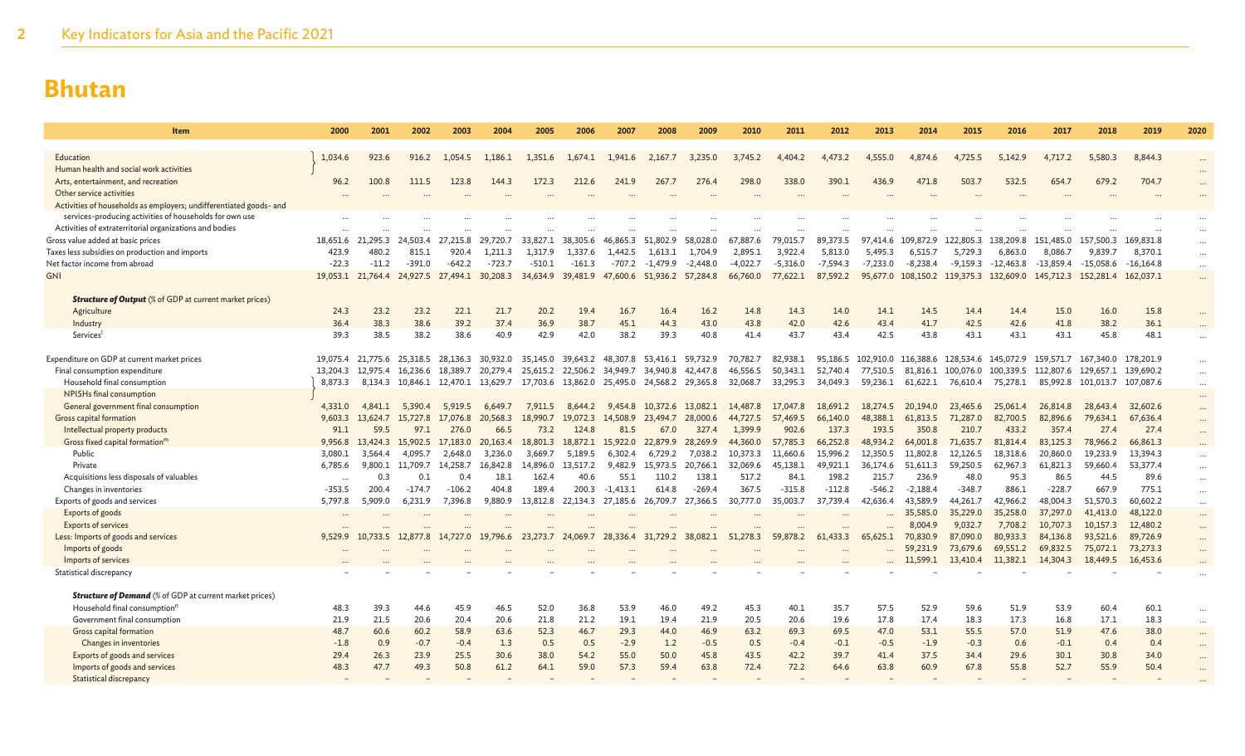| 2000    | 2001                                                                                    | 2002                                                                                                                                            | 2003                                                                                                                     | 2004                                                                                                           | 2005                                                                                                                                                                        | 2006                                                                                   | 2007                                                                                                                               | 2008                                                                                                      | 2009                                                                                                    | 2010                                                                                                                                                                                                                    | 2011                                                                                                                       | 2012                                                                                                                         | 2013                                                                                                                      | 2014                                                                                                              | 2015                                                                                                                                                                                                     | 2016                                                                                                                                                                           | 2017                                                                                                                                                                                     | 2018                                                                                                                                                                             | 2019                                                                                                                                                             | 2020                                                                                                                                                                                                                      |
|---------|-----------------------------------------------------------------------------------------|-------------------------------------------------------------------------------------------------------------------------------------------------|--------------------------------------------------------------------------------------------------------------------------|----------------------------------------------------------------------------------------------------------------|-----------------------------------------------------------------------------------------------------------------------------------------------------------------------------|----------------------------------------------------------------------------------------|------------------------------------------------------------------------------------------------------------------------------------|-----------------------------------------------------------------------------------------------------------|---------------------------------------------------------------------------------------------------------|-------------------------------------------------------------------------------------------------------------------------------------------------------------------------------------------------------------------------|----------------------------------------------------------------------------------------------------------------------------|------------------------------------------------------------------------------------------------------------------------------|---------------------------------------------------------------------------------------------------------------------------|-------------------------------------------------------------------------------------------------------------------|----------------------------------------------------------------------------------------------------------------------------------------------------------------------------------------------------------|--------------------------------------------------------------------------------------------------------------------------------------------------------------------------------|------------------------------------------------------------------------------------------------------------------------------------------------------------------------------------------|----------------------------------------------------------------------------------------------------------------------------------------------------------------------------------|------------------------------------------------------------------------------------------------------------------------------------------------------------------|---------------------------------------------------------------------------------------------------------------------------------------------------------------------------------------------------------------------------|
|         |                                                                                         |                                                                                                                                                 |                                                                                                                          |                                                                                                                |                                                                                                                                                                             |                                                                                        |                                                                                                                                    |                                                                                                           |                                                                                                         |                                                                                                                                                                                                                         |                                                                                                                            |                                                                                                                              |                                                                                                                           |                                                                                                                   |                                                                                                                                                                                                          |                                                                                                                                                                                |                                                                                                                                                                                          |                                                                                                                                                                                  |                                                                                                                                                                  |                                                                                                                                                                                                                           |
|         |                                                                                         |                                                                                                                                                 |                                                                                                                          |                                                                                                                |                                                                                                                                                                             |                                                                                        |                                                                                                                                    |                                                                                                           |                                                                                                         |                                                                                                                                                                                                                         |                                                                                                                            |                                                                                                                              |                                                                                                                           |                                                                                                                   |                                                                                                                                                                                                          |                                                                                                                                                                                |                                                                                                                                                                                          |                                                                                                                                                                                  |                                                                                                                                                                  |                                                                                                                                                                                                                           |
|         |                                                                                         |                                                                                                                                                 |                                                                                                                          |                                                                                                                |                                                                                                                                                                             |                                                                                        |                                                                                                                                    |                                                                                                           |                                                                                                         |                                                                                                                                                                                                                         |                                                                                                                            |                                                                                                                              |                                                                                                                           |                                                                                                                   |                                                                                                                                                                                                          |                                                                                                                                                                                |                                                                                                                                                                                          |                                                                                                                                                                                  |                                                                                                                                                                  | $\cdots$                                                                                                                                                                                                                  |
|         |                                                                                         |                                                                                                                                                 |                                                                                                                          |                                                                                                                |                                                                                                                                                                             |                                                                                        |                                                                                                                                    |                                                                                                           |                                                                                                         |                                                                                                                                                                                                                         |                                                                                                                            |                                                                                                                              |                                                                                                                           |                                                                                                                   |                                                                                                                                                                                                          |                                                                                                                                                                                |                                                                                                                                                                                          |                                                                                                                                                                                  |                                                                                                                                                                  | $\cdots$<br>                                                                                                                                                                                                              |
|         |                                                                                         |                                                                                                                                                 |                                                                                                                          |                                                                                                                |                                                                                                                                                                             |                                                                                        |                                                                                                                                    |                                                                                                           |                                                                                                         |                                                                                                                                                                                                                         |                                                                                                                            |                                                                                                                              |                                                                                                                           |                                                                                                                   |                                                                                                                                                                                                          |                                                                                                                                                                                |                                                                                                                                                                                          |                                                                                                                                                                                  |                                                                                                                                                                  |                                                                                                                                                                                                                           |
|         |                                                                                         |                                                                                                                                                 |                                                                                                                          |                                                                                                                |                                                                                                                                                                             |                                                                                        |                                                                                                                                    |                                                                                                           |                                                                                                         |                                                                                                                                                                                                                         |                                                                                                                            |                                                                                                                              |                                                                                                                           |                                                                                                                   |                                                                                                                                                                                                          |                                                                                                                                                                                |                                                                                                                                                                                          |                                                                                                                                                                                  |                                                                                                                                                                  |                                                                                                                                                                                                                           |
|         |                                                                                         |                                                                                                                                                 |                                                                                                                          |                                                                                                                |                                                                                                                                                                             |                                                                                        |                                                                                                                                    |                                                                                                           |                                                                                                         |                                                                                                                                                                                                                         |                                                                                                                            |                                                                                                                              |                                                                                                                           |                                                                                                                   |                                                                                                                                                                                                          |                                                                                                                                                                                |                                                                                                                                                                                          |                                                                                                                                                                                  |                                                                                                                                                                  |                                                                                                                                                                                                                           |
|         |                                                                                         | 24,503.4                                                                                                                                        | 27.215.8                                                                                                                 |                                                                                                                | 33,827.1                                                                                                                                                                    | 38,305.6                                                                               | 46,865.3                                                                                                                           | 51,802.9                                                                                                  | 58,028.0                                                                                                | 67,887.6                                                                                                                                                                                                                | 79,015.7                                                                                                                   | 89,373.5                                                                                                                     | 97,414.6                                                                                                                  |                                                                                                                   | 122,805.3                                                                                                                                                                                                |                                                                                                                                                                                |                                                                                                                                                                                          | 157,500.3                                                                                                                                                                        |                                                                                                                                                                  | $\cdots$                                                                                                                                                                                                                  |
| 423.9   | 480.2                                                                                   | 815.1                                                                                                                                           | 920.4                                                                                                                    | 1.211.3                                                                                                        | 1.317.9                                                                                                                                                                     | 1,337.6                                                                                | 1,442.5                                                                                                                            | 1,613.1                                                                                                   | 1,704.9                                                                                                 | 2,895.1                                                                                                                                                                                                                 | 3,922.4                                                                                                                    | 5,813.0                                                                                                                      | 5,495.3                                                                                                                   | 6,515.7                                                                                                           | 5,729.3                                                                                                                                                                                                  | 6,863.0                                                                                                                                                                        | 8,086.7                                                                                                                                                                                  | 9,839.7                                                                                                                                                                          | 8,370.1                                                                                                                                                          | $\cdots$                                                                                                                                                                                                                  |
| $-22.3$ | $-11.2$                                                                                 | $-391.0$                                                                                                                                        | $-642.2$                                                                                                                 | $-723.7$                                                                                                       | $-510.1$                                                                                                                                                                    | $-161.3$                                                                               | $-707.2$                                                                                                                           | $-1,479.9$                                                                                                | $-2,448.0$                                                                                              | $-4,022.7$                                                                                                                                                                                                              | $-5.316.0$                                                                                                                 | $-7,594.3$                                                                                                                   | $-7.233.0$                                                                                                                | $-8.238.4$                                                                                                        | $-9.159.3$                                                                                                                                                                                               | $-12,463.8$                                                                                                                                                                    | $-13,859.4$                                                                                                                                                                              | $-15,058.6$                                                                                                                                                                      | $-16, 164.8$                                                                                                                                                     | $\cdots$                                                                                                                                                                                                                  |
|         |                                                                                         | 24,927.5                                                                                                                                        |                                                                                                                          |                                                                                                                | 34,634.9                                                                                                                                                                    |                                                                                        |                                                                                                                                    |                                                                                                           |                                                                                                         | 66,760.0                                                                                                                                                                                                                | 77,622.1                                                                                                                   | 87,592.2                                                                                                                     |                                                                                                                           |                                                                                                                   |                                                                                                                                                                                                          |                                                                                                                                                                                |                                                                                                                                                                                          |                                                                                                                                                                                  |                                                                                                                                                                  |                                                                                                                                                                                                                           |
|         |                                                                                         |                                                                                                                                                 |                                                                                                                          |                                                                                                                |                                                                                                                                                                             |                                                                                        |                                                                                                                                    |                                                                                                           |                                                                                                         |                                                                                                                                                                                                                         |                                                                                                                            |                                                                                                                              |                                                                                                                           |                                                                                                                   |                                                                                                                                                                                                          |                                                                                                                                                                                |                                                                                                                                                                                          |                                                                                                                                                                                  |                                                                                                                                                                  |                                                                                                                                                                                                                           |
| 24.3    | 23.2                                                                                    | 23.2                                                                                                                                            | 22.1                                                                                                                     | 21.7                                                                                                           | 20.2                                                                                                                                                                        | 19.4                                                                                   | 16.7                                                                                                                               | 16.4                                                                                                      | 16.2                                                                                                    | 14.8                                                                                                                                                                                                                    | 14.3                                                                                                                       | 14.0                                                                                                                         | 14.1                                                                                                                      | 14.5                                                                                                              | 14.4                                                                                                                                                                                                     | 14.4                                                                                                                                                                           | 15.0                                                                                                                                                                                     | 16.0                                                                                                                                                                             | 15.8                                                                                                                                                             |                                                                                                                                                                                                                           |
| 36.4    | 38.3                                                                                    | 38.6                                                                                                                                            | 39.2                                                                                                                     | 37.4                                                                                                           | 36.9                                                                                                                                                                        | 38.7                                                                                   | 45.1                                                                                                                               | 44.3                                                                                                      | 43.0                                                                                                    | 43.8                                                                                                                                                                                                                    | 42.0                                                                                                                       | 42.6                                                                                                                         | 43.4                                                                                                                      | 41.7                                                                                                              | 42.5                                                                                                                                                                                                     | 42.6                                                                                                                                                                           | 41.8                                                                                                                                                                                     | 38.2                                                                                                                                                                             | 36.1                                                                                                                                                             |                                                                                                                                                                                                                           |
| 39.3    | 38.5                                                                                    | 38.2                                                                                                                                            | 38.6                                                                                                                     | 40.9                                                                                                           | 42.9                                                                                                                                                                        | 42.0                                                                                   | 38.2                                                                                                                               | 39.3                                                                                                      | 40.8                                                                                                    | 41.4                                                                                                                                                                                                                    | 43.7                                                                                                                       | 43.4                                                                                                                         | 42.5                                                                                                                      | 43.8                                                                                                              | 43.1                                                                                                                                                                                                     | 43.1                                                                                                                                                                           | 43.1                                                                                                                                                                                     | 45.8                                                                                                                                                                             | 48.1                                                                                                                                                             |                                                                                                                                                                                                                           |
|         |                                                                                         |                                                                                                                                                 |                                                                                                                          |                                                                                                                |                                                                                                                                                                             |                                                                                        |                                                                                                                                    |                                                                                                           |                                                                                                         |                                                                                                                                                                                                                         |                                                                                                                            |                                                                                                                              |                                                                                                                           |                                                                                                                   |                                                                                                                                                                                                          |                                                                                                                                                                                |                                                                                                                                                                                          |                                                                                                                                                                                  |                                                                                                                                                                  |                                                                                                                                                                                                                           |
|         |                                                                                         |                                                                                                                                                 |                                                                                                                          |                                                                                                                |                                                                                                                                                                             |                                                                                        |                                                                                                                                    |                                                                                                           |                                                                                                         |                                                                                                                                                                                                                         |                                                                                                                            |                                                                                                                              |                                                                                                                           |                                                                                                                   |                                                                                                                                                                                                          |                                                                                                                                                                                |                                                                                                                                                                                          |                                                                                                                                                                                  |                                                                                                                                                                  |                                                                                                                                                                                                                           |
|         |                                                                                         |                                                                                                                                                 |                                                                                                                          |                                                                                                                |                                                                                                                                                                             |                                                                                        |                                                                                                                                    |                                                                                                           |                                                                                                         |                                                                                                                                                                                                                         |                                                                                                                            |                                                                                                                              |                                                                                                                           |                                                                                                                   |                                                                                                                                                                                                          |                                                                                                                                                                                |                                                                                                                                                                                          |                                                                                                                                                                                  |                                                                                                                                                                  | $\cdots$                                                                                                                                                                                                                  |
|         |                                                                                         |                                                                                                                                                 |                                                                                                                          |                                                                                                                |                                                                                                                                                                             |                                                                                        |                                                                                                                                    |                                                                                                           |                                                                                                         |                                                                                                                                                                                                                         |                                                                                                                            |                                                                                                                              |                                                                                                                           |                                                                                                                   |                                                                                                                                                                                                          |                                                                                                                                                                                |                                                                                                                                                                                          |                                                                                                                                                                                  |                                                                                                                                                                  | $\cdots$                                                                                                                                                                                                                  |
| 4,331.0 | 4,841.1                                                                                 | 5,390.4                                                                                                                                         | 5,919.5                                                                                                                  | 6.649.7                                                                                                        | 7,911.5                                                                                                                                                                     | 8.644.2                                                                                | 9.454.8                                                                                                                            | 10,372.6                                                                                                  |                                                                                                         | 14,487.8                                                                                                                                                                                                                | 17,047.8                                                                                                                   | 18,691.2                                                                                                                     | 18,274.5                                                                                                                  | 20,194.0                                                                                                          | 23,465.6                                                                                                                                                                                                 | 25,061.4                                                                                                                                                                       | 26,814.8                                                                                                                                                                                 | 28,643.4                                                                                                                                                                         | 32,602.6                                                                                                                                                         |                                                                                                                                                                                                                           |
| 9,603.3 | 13,624.7                                                                                | 727.8                                                                                                                                           | 17,076.8                                                                                                                 | 20,568.3                                                                                                       | 18,990.7                                                                                                                                                                    | 19,072.3                                                                               | 14,508.9                                                                                                                           | 23,494.7                                                                                                  | 28,000.6                                                                                                | 44,727.5                                                                                                                                                                                                                | 57,469.5                                                                                                                   | 66,140.0                                                                                                                     | 48,388.1                                                                                                                  | 61,813.5                                                                                                          | 71,287.0                                                                                                                                                                                                 | 82,700.5                                                                                                                                                                       | 82,896.6                                                                                                                                                                                 | 79,634.1                                                                                                                                                                         | 67,636.4                                                                                                                                                         |                                                                                                                                                                                                                           |
| 91.1    | 59.5                                                                                    | 97.1                                                                                                                                            | 276.0                                                                                                                    | 66.5                                                                                                           | 73.2                                                                                                                                                                        | 124.8                                                                                  | 81.5                                                                                                                               | 67.0                                                                                                      | 327.4                                                                                                   | 1.399.9                                                                                                                                                                                                                 | 902.6                                                                                                                      | 137.3                                                                                                                        | 193.5                                                                                                                     | 350.8                                                                                                             | 210.7                                                                                                                                                                                                    | 433.2                                                                                                                                                                          | 357.4                                                                                                                                                                                    | 27.4                                                                                                                                                                             | 27.4                                                                                                                                                             | $\cdots$                                                                                                                                                                                                                  |
| 9,956.8 | 13,424.3                                                                                | 15,902.5                                                                                                                                        | 17.183.0                                                                                                                 | 20,163.4                                                                                                       | 18,801.3                                                                                                                                                                    | 18,872.1                                                                               | 15,922.0                                                                                                                           | 22,879.9                                                                                                  |                                                                                                         | 44,360.0                                                                                                                                                                                                                | 57,785.3                                                                                                                   | 66,252.8                                                                                                                     | 48.934.2                                                                                                                  | 64,001.8                                                                                                          | 71,635.7                                                                                                                                                                                                 | 81,814.4                                                                                                                                                                       | 83,125.3                                                                                                                                                                                 | 78,966.2                                                                                                                                                                         | 66,861.3                                                                                                                                                         |                                                                                                                                                                                                                           |
| 3,080.1 | 3,564.4                                                                                 | 4.095.7                                                                                                                                         | 2.648.0                                                                                                                  | 3,236.0                                                                                                        | 3.669.7                                                                                                                                                                     | 5.189.5                                                                                | 6.302.4                                                                                                                            | 6.729.2                                                                                                   | 7.038.2                                                                                                 | 10.373.3                                                                                                                                                                                                                | 11,660.6                                                                                                                   | 15,996.2                                                                                                                     | 12.350.5                                                                                                                  | 11,802.8                                                                                                          | 12.126.5                                                                                                                                                                                                 | 18,318.6                                                                                                                                                                       | 20,860.0                                                                                                                                                                                 | 19,233.9                                                                                                                                                                         |                                                                                                                                                                  |                                                                                                                                                                                                                           |
|         |                                                                                         |                                                                                                                                                 |                                                                                                                          |                                                                                                                |                                                                                                                                                                             |                                                                                        |                                                                                                                                    |                                                                                                           |                                                                                                         |                                                                                                                                                                                                                         |                                                                                                                            |                                                                                                                              |                                                                                                                           |                                                                                                                   |                                                                                                                                                                                                          |                                                                                                                                                                                |                                                                                                                                                                                          |                                                                                                                                                                                  |                                                                                                                                                                  | $\cdots$                                                                                                                                                                                                                  |
|         |                                                                                         |                                                                                                                                                 |                                                                                                                          |                                                                                                                |                                                                                                                                                                             |                                                                                        |                                                                                                                                    |                                                                                                           |                                                                                                         |                                                                                                                                                                                                                         |                                                                                                                            |                                                                                                                              |                                                                                                                           |                                                                                                                   |                                                                                                                                                                                                          |                                                                                                                                                                                |                                                                                                                                                                                          |                                                                                                                                                                                  |                                                                                                                                                                  |                                                                                                                                                                                                                           |
|         |                                                                                         |                                                                                                                                                 |                                                                                                                          |                                                                                                                |                                                                                                                                                                             |                                                                                        |                                                                                                                                    |                                                                                                           |                                                                                                         |                                                                                                                                                                                                                         |                                                                                                                            |                                                                                                                              |                                                                                                                           |                                                                                                                   |                                                                                                                                                                                                          |                                                                                                                                                                                |                                                                                                                                                                                          |                                                                                                                                                                                  |                                                                                                                                                                  | $\cdots$                                                                                                                                                                                                                  |
|         |                                                                                         |                                                                                                                                                 |                                                                                                                          |                                                                                                                |                                                                                                                                                                             |                                                                                        |                                                                                                                                    |                                                                                                           |                                                                                                         |                                                                                                                                                                                                                         |                                                                                                                            |                                                                                                                              |                                                                                                                           |                                                                                                                   |                                                                                                                                                                                                          |                                                                                                                                                                                |                                                                                                                                                                                          |                                                                                                                                                                                  |                                                                                                                                                                  | $\cdots$                                                                                                                                                                                                                  |
|         |                                                                                         |                                                                                                                                                 |                                                                                                                          |                                                                                                                |                                                                                                                                                                             |                                                                                        |                                                                                                                                    |                                                                                                           |                                                                                                         |                                                                                                                                                                                                                         |                                                                                                                            |                                                                                                                              |                                                                                                                           |                                                                                                                   |                                                                                                                                                                                                          |                                                                                                                                                                                |                                                                                                                                                                                          |                                                                                                                                                                                  |                                                                                                                                                                  | $\cdots$                                                                                                                                                                                                                  |
|         |                                                                                         |                                                                                                                                                 |                                                                                                                          |                                                                                                                |                                                                                                                                                                             |                                                                                        |                                                                                                                                    |                                                                                                           |                                                                                                         |                                                                                                                                                                                                                         |                                                                                                                            |                                                                                                                              |                                                                                                                           |                                                                                                                   |                                                                                                                                                                                                          |                                                                                                                                                                                |                                                                                                                                                                                          |                                                                                                                                                                                  |                                                                                                                                                                  | $\cdots$                                                                                                                                                                                                                  |
|         |                                                                                         |                                                                                                                                                 |                                                                                                                          |                                                                                                                |                                                                                                                                                                             |                                                                                        |                                                                                                                                    |                                                                                                           |                                                                                                         |                                                                                                                                                                                                                         |                                                                                                                            |                                                                                                                              |                                                                                                                           |                                                                                                                   |                                                                                                                                                                                                          |                                                                                                                                                                                |                                                                                                                                                                                          |                                                                                                                                                                                  |                                                                                                                                                                  |                                                                                                                                                                                                                           |
|         |                                                                                         |                                                                                                                                                 |                                                                                                                          |                                                                                                                |                                                                                                                                                                             |                                                                                        |                                                                                                                                    |                                                                                                           |                                                                                                         |                                                                                                                                                                                                                         |                                                                                                                            |                                                                                                                              |                                                                                                                           | 11,599.1                                                                                                          | 13,410.4                                                                                                                                                                                                 | 11,382.1                                                                                                                                                                       | 14,304.3                                                                                                                                                                                 | 18,449.5                                                                                                                                                                         | 16,453.6                                                                                                                                                         |                                                                                                                                                                                                                           |
|         |                                                                                         |                                                                                                                                                 |                                                                                                                          |                                                                                                                |                                                                                                                                                                             |                                                                                        |                                                                                                                                    |                                                                                                           |                                                                                                         |                                                                                                                                                                                                                         |                                                                                                                            |                                                                                                                              |                                                                                                                           |                                                                                                                   |                                                                                                                                                                                                          |                                                                                                                                                                                |                                                                                                                                                                                          |                                                                                                                                                                                  |                                                                                                                                                                  |                                                                                                                                                                                                                           |
|         |                                                                                         |                                                                                                                                                 |                                                                                                                          |                                                                                                                |                                                                                                                                                                             |                                                                                        |                                                                                                                                    |                                                                                                           |                                                                                                         |                                                                                                                                                                                                                         |                                                                                                                            |                                                                                                                              |                                                                                                                           |                                                                                                                   |                                                                                                                                                                                                          |                                                                                                                                                                                |                                                                                                                                                                                          |                                                                                                                                                                                  |                                                                                                                                                                  |                                                                                                                                                                                                                           |
|         |                                                                                         |                                                                                                                                                 |                                                                                                                          |                                                                                                                |                                                                                                                                                                             |                                                                                        |                                                                                                                                    |                                                                                                           |                                                                                                         |                                                                                                                                                                                                                         |                                                                                                                            |                                                                                                                              |                                                                                                                           |                                                                                                                   |                                                                                                                                                                                                          |                                                                                                                                                                                |                                                                                                                                                                                          |                                                                                                                                                                                  |                                                                                                                                                                  | $\cdots$                                                                                                                                                                                                                  |
|         |                                                                                         |                                                                                                                                                 |                                                                                                                          | 20.6                                                                                                           |                                                                                                                                                                             |                                                                                        | 19.1                                                                                                                               | 19.4                                                                                                      |                                                                                                         |                                                                                                                                                                                                                         |                                                                                                                            | 19.6                                                                                                                         |                                                                                                                           | 17.4                                                                                                              |                                                                                                                                                                                                          |                                                                                                                                                                                |                                                                                                                                                                                          |                                                                                                                                                                                  |                                                                                                                                                                  | $\cdots$                                                                                                                                                                                                                  |
| 48.7    | 60.6                                                                                    | 60.2                                                                                                                                            | 58.9                                                                                                                     | 63.6                                                                                                           | 52.3                                                                                                                                                                        | 46.7                                                                                   | 29.3                                                                                                                               | 44.0                                                                                                      | 46.9                                                                                                    | 63.2                                                                                                                                                                                                                    | 69.3                                                                                                                       | 69.5                                                                                                                         | 47.0                                                                                                                      | 53.1                                                                                                              | 55.5                                                                                                                                                                                                     | 57.0                                                                                                                                                                           | 51.9                                                                                                                                                                                     | 47.6                                                                                                                                                                             | 38.0                                                                                                                                                             | $\cdots$                                                                                                                                                                                                                  |
| $-1.8$  | 0.9                                                                                     | $-0.7$                                                                                                                                          | $-0.4$                                                                                                                   | 1.3                                                                                                            | 0.5                                                                                                                                                                         | 0.5                                                                                    | $-2.9$                                                                                                                             | 1.2                                                                                                       | $-0.5$                                                                                                  | 0.5                                                                                                                                                                                                                     | $-0.4$                                                                                                                     | $-0.1$                                                                                                                       | $-0.5$                                                                                                                    | $-1.9$                                                                                                            | $-0.3$                                                                                                                                                                                                   | 0.6                                                                                                                                                                            | $-0.1$                                                                                                                                                                                   | 0.4                                                                                                                                                                              | 0.4                                                                                                                                                              | $\cdots$                                                                                                                                                                                                                  |
| 29.4    | 26.3                                                                                    | 23.9                                                                                                                                            | 25.5                                                                                                                     | 30.6                                                                                                           | 38.0                                                                                                                                                                        | 54.2                                                                                   | 55.0                                                                                                                               | 50.0                                                                                                      | 45.8                                                                                                    | 43.5                                                                                                                                                                                                                    | 42.2                                                                                                                       | 39.7                                                                                                                         | 41.4                                                                                                                      | 37.5                                                                                                              | 34.4                                                                                                                                                                                                     | 29.6                                                                                                                                                                           | 30.1                                                                                                                                                                                     | 30.8                                                                                                                                                                             | 34.0                                                                                                                                                             | $\cdots$                                                                                                                                                                                                                  |
| 48.3    | 47.7                                                                                    | 49.3                                                                                                                                            | 50.8                                                                                                                     | 61.2                                                                                                           | 64.1                                                                                                                                                                        | 59.0                                                                                   | 57.3                                                                                                                               | 59.4                                                                                                      | 63.8                                                                                                    | 72.4                                                                                                                                                                                                                    | 72.2                                                                                                                       | 64.6                                                                                                                         | 63.8                                                                                                                      | 60.9                                                                                                              | 67.8                                                                                                                                                                                                     | 55.8                                                                                                                                                                           | 52.7                                                                                                                                                                                     | 55.9                                                                                                                                                                             | 50.4                                                                                                                                                             | $\ddotsc$                                                                                                                                                                                                                 |
|         |                                                                                         |                                                                                                                                                 |                                                                                                                          |                                                                                                                |                                                                                                                                                                             |                                                                                        |                                                                                                                                    |                                                                                                           |                                                                                                         |                                                                                                                                                                                                                         |                                                                                                                            |                                                                                                                              |                                                                                                                           |                                                                                                                   |                                                                                                                                                                                                          |                                                                                                                                                                                |                                                                                                                                                                                          |                                                                                                                                                                                  |                                                                                                                                                                  |                                                                                                                                                                                                                           |
|         | 1,034.6<br>96.2<br>8,873.3<br>6,785.6<br>$-353.5$<br>5,797.8<br>9,529.9<br>48.3<br>21.9 | 923.6<br>100.8<br>18,651.6 21,295.3<br>19,053.1 21,764.4<br>19,075.4 21,775.6<br>13,204.3<br>9,800.1<br>0.3<br>200.4<br>5.909.0<br>39.3<br>21.5 | 916.2<br>111.5<br>25,318.5<br>16.236.6<br>12.975.4<br>11,709.7<br>0.1<br>$-174.7$<br>6,231.9<br>12,877.8<br>44.6<br>20.6 | 1.054.5<br>123.8<br>28,136.3<br>18,389.7<br>14,258.7<br>0.4<br>$-106.2$<br>7,396.8<br>14,727.0<br>45.9<br>20.4 | 1,186.1<br>144.3<br>29,720.7<br>27,494.1 30,208.3<br>30,932.0<br>20,279.4<br>8,134.3 10,846.1 12,470.1 13,629.7<br>16,842.8<br>18.1<br>404.8<br>9.880.9<br>19,796.6<br>46.5 | 1.351.6<br>172.3<br>25,615.2<br>14,896.0<br>162.4<br>189.4<br>13,812.8<br>52.0<br>21.8 | 1.674.1<br>212.6<br>39,481.9<br>35,145.0 39,643.2<br>22,506.2<br>13,517.2<br>40.6<br>200.3<br>22.134.3<br>24,069.7<br>36.8<br>21.2 | 1,941.6<br>241.9<br>47,600.6<br>34,949.7<br>9,482.9<br>55.1<br>$-1,413.1$<br>27,185.6<br>28,336.4<br>53.9 | 2,167.7<br>267.7<br>48,307.8 53,416.1<br>34,940.8<br>15,973.5<br>110.2<br>614.8<br>31<br>.729.2<br>46.0 | 3.235.0<br>276.4<br>51,936.2 57,284.8<br>59,732.9<br>42,447.8<br>17,703.6 13,862.0 25,495.0 24,568.2 29,365.8<br>13,082.1<br>28,269.9<br>20,766.1<br>138.1<br>$-269.4$<br>26,709.7 27,366.5<br>38,082.1<br>49.2<br>21.9 | 3.745.2<br>298.0<br>70,782.7<br>46,556.5<br>32,068.7<br>32,069.6<br>517.2<br>367.5<br>30,777.0<br>51,278.3<br>45.3<br>20.5 | 4,404.2<br>338.0<br>82,938.1<br>50,343.1<br>33,295.3<br>45,138.1<br>84.1<br>$-315.8$<br>35,003.7<br>59,878.2<br>40.1<br>20.6 | 4,473.2<br>390.1<br>95,186.5<br>52,740.4<br>34,049.3<br>49,921.1<br>198.2<br>$-112.8$<br>37.739.4<br><br>61,433.3<br>35.7 | 4,555.0<br>436.9<br>77,510.5<br>59,236.1<br>36,174.6<br>215.7<br>$-546.2$<br>42,636.4<br>65,625.1<br>57.5<br>17.8 | 4,874.6<br>471.8<br>109,872.9<br>95,677.0 108,150.2<br>102,910.0 116,388.6<br>81,816.1<br>61,622.1<br>51,611.3<br>236.9<br>$-2,188.4$<br>43,589.9<br>35,585.0<br>8,004.9<br>70,830.9<br>59,231.9<br>52.9 | 4.725.5<br>503.7<br>119,375.3<br>128,534.6<br>100,076.0<br>76,610.4<br>59,250.5<br>48.0<br>$-348.7$<br>44.261.7<br>35,229.0<br>9,032.7<br>87,090.0<br>73,679.6<br>59.6<br>18.3 | 5,142.9<br>532.5<br>138,209.8<br>132,609.0<br>145,072.9<br>100,339.5<br>75,278.1<br>62,967.3<br>95.3<br>886.1<br>42,966.2<br>35,258.0<br>7,708.2<br>80,933.3<br>69,551.2<br>51.9<br>17.3 | 4,717.2<br>654.7<br>151,485.0<br>145,712.3<br>159,571.7<br>112,807.6<br>61,821.3<br>86.5<br>$-228.7$<br>48,004.3<br>37,297.0<br>10,707.3<br>84,136.8<br>69,832.5<br>53.9<br>16.8 | 5,580.3<br>679.2<br>152,281.4<br>167,340.0<br>129,657.1<br>59,660.4<br>44.5<br>667.9<br>51,570.3<br>41,413.0<br>10,157.3<br>93,521.6<br>75,072.1<br>60.4<br>17.1 | 8,844.3<br>704.7<br>169,831.8<br>162,037.1<br>178,201.9<br>139,690.2<br>85,992.8 101,013.7 107,087.6<br>13,394.3<br>53,377.4<br>89.6<br>775.1<br>60.602.2<br>48.122.0<br>12,480.2<br>89,726.9<br>73,273.3<br>60.1<br>18.3 |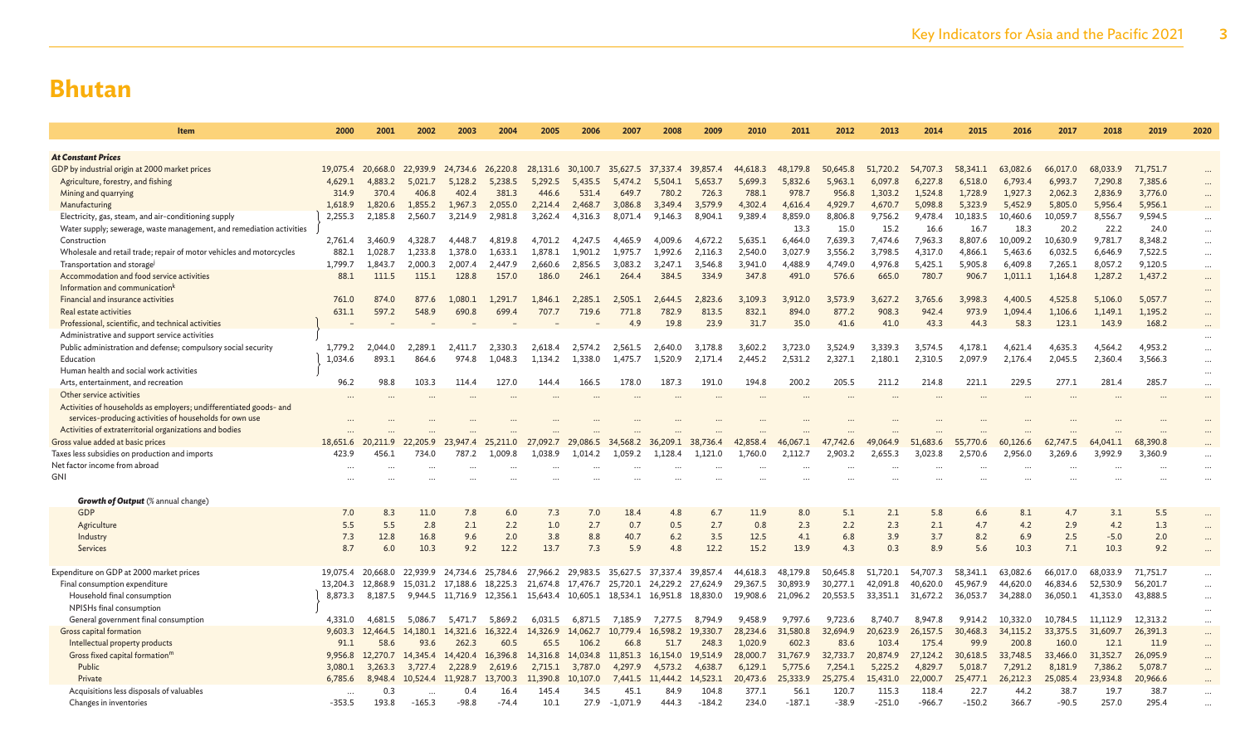| <b>Item</b>                                                          | 2000     | 2001              | 2002     | 2003                       | 2004              | 2005     | 2006     | 2007                                         | 2008              | 2009     | 2010     | 2011     | 2012     | 2013     | 2014     | 2015     | 2016     | 2017     | 2018     | 2019     | 2020     |
|----------------------------------------------------------------------|----------|-------------------|----------|----------------------------|-------------------|----------|----------|----------------------------------------------|-------------------|----------|----------|----------|----------|----------|----------|----------|----------|----------|----------|----------|----------|
|                                                                      |          |                   |          |                            |                   |          |          |                                              |                   |          |          |          |          |          |          |          |          |          |          |          |          |
| <b>At Constant Prices</b>                                            |          |                   |          |                            |                   |          |          |                                              |                   |          |          |          |          |          |          |          |          |          |          |          |          |
| GDP by industrial origin at 2000 market prices                       | 19,075.4 | 20,668.0          | 22,939.9 |                            | 24,734.6 26,220.8 | 28,131.6 | 30,100.7 | 35,627.5                                     | 37,337.4          | 39,857.4 | 44,618.3 | 48,179.8 | 50,645.8 | 51,720.2 | 54,707.3 | 58,341.1 | 63,082.6 | 66,017.0 | 68,033.9 | 71,751.7 | $\cdots$ |
| Agriculture, forestry, and fishing                                   | 4,629.1  | 4,883.2           | 5.021.7  | 5.128.2                    | 5.238.5           | 5.292.5  | 5.435.5  | 5.474.2                                      | 5,504.1           | 5,653.7  | 5.699.3  | 5.832.6  | 5.963.1  | 6.097.8  | 6.227.8  | 6,518.0  | 6,793.4  | 6.993.7  | 7,290.8  | 7,385.6  |          |
| Mining and quarrying                                                 | 314.9    | 370.4             | 406.8    | 402.4                      | 381.3             | 446.6    | 531.4    | 649.7                                        | 780.2             | 726.3    | 788.1    | 978.7    | 956.8    | 1.303.2  | 1,524.8  | 1.728.9  | 1.927.3  | 2,062.3  | 2,836.9  | 3,776.0  | $\cdots$ |
| Manufacturing                                                        | 1,618.9  | 1,820.6           | 1.855.2  | 1,967.3                    | 2,055.0           | 2,214.4  | 2,468.7  | 3,086.8                                      | 3.349.4           | 3,579.9  | 4,302.4  | 4,616.4  | 4,929.7  | 4,670.7  | 5,098.8  | 5,323.9  | 5,452.9  | 5,805.0  | 5,956.4  | 5,956.1  |          |
| Electricity, gas, steam, and air-conditioning supply                 | 2,255.3  | 2,185.8           | 2,560.7  | 3,214.9                    | 2,981.8           | 3,262.4  | 4,316.3  | 8,071.4                                      | 9,146.3           | 8,904.1  | 9.389.4  | 8,859.0  | 8,806.8  | 9,756.2  | 9,478.4  | 10,183.5 | 10,460.6 | 10,059.7 | 8,556.7  | 9,594.5  |          |
| Water supply; sewerage, waste management, and remediation activities |          |                   |          |                            |                   |          |          |                                              |                   |          |          | 13.3     | 15.0     | 15.2     | 16.6     | 16.7     | 18.3     | 20.2     | 22.2     | 24.0     | $\cdots$ |
| Construction                                                         | 2,761.4  | 3,460.9           | 4.328.7  | 4.448.7                    | 4.819.8           | 4.701.2  | 4.247.5  | 4.465.9                                      | 4,009.6           | 4.672.2  | 5.635.1  | 6.464.0  | 7,639.3  | 7.474.6  | 7,963.3  | 8.807.6  | 10,009.2 | 10,630.9 | 9,781.7  | 8,348.2  | $\ldots$ |
| Wholesale and retail trade; repair of motor vehicles and motorcycles | 882.1    | 1.028.7           | 1,233.8  | 1,378.0                    | 1.633.1           | 1,878.1  | 1,901.2  | 1.975.7                                      | 1.992.6           | 2,116.3  | 2.540.0  | 3,027.9  | 3.556.2  | 3.798.5  | 4,317.0  | 4.866.1  | 5,463.6  | 6,032.5  | 6.646.9  | 7,522.5  | $\cdots$ |
| Transportation and storage                                           | 1,799.7  | 1,843.7           | 2,000.3  | 2,007.4                    | 2,447.9           | 2,660.6  | 2,856.5  | 3,083.2                                      | 3,247.1           | 3,546.8  | 3,941.0  | 4,488.9  | 4,749.0  | 4,976.8  | 5,425.1  | 5,905.8  | 6,409.8  | 7,265.1  | 8,057.2  | 9,120.5  | $\cdots$ |
| Accommodation and food service activities                            | 88.1     | 111.5             | 115.1    | 128.8                      | 157.0             | 186.0    | 246.1    | 264.4                                        | 384.5             | 334.9    | 347.8    | 491.0    | 576.6    | 665.0    | 780.7    | 906.7    | 1,011.1  | 1,164.8  | 1,287.2  | 1,437.2  | $\cdots$ |
| Information and communication <sup>k</sup>                           |          |                   |          |                            |                   |          |          |                                              |                   |          |          |          |          |          |          |          |          |          |          |          | $\cdots$ |
| Financial and insurance activities                                   | 761.0    | 874.0             | 877.6    | 1.080.1                    | 1.291.7           | 1,846.1  | 2.285.1  | 2.505.1                                      | 2.644.5           | 2.823.6  | 3.109.3  | 3.912.0  | 3.573.9  | 3.627.2  | 3.765.6  | 3.998.3  | 4,400.5  | 4.525.8  | 5.106.0  | 5,057.7  | $\cdots$ |
| Real estate activities                                               | 631.1    | 597.2             | 548.9    | 690.8                      | 699.4             | 707.7    | 719.6    | 771.8                                        | 782.9             | 813.5    | 832.1    | 894.0    | 877.2    | 908.3    | 942.4    | 973.9    | 1.094.4  | 1.106.6  | 1,149.1  | 1,195.2  | $\cdots$ |
| Professional, scientific, and technical activities                   |          |                   |          |                            |                   |          |          | 4.9                                          | 19.8              | 23.9     | 31.7     | 35.0     | 41.6     | 41.0     | 43.3     | 44.3     | 58.3     | 123.1    | 143.9    | 168.2    | $\cdots$ |
| Administrative and support service activities                        |          |                   |          |                            |                   |          |          |                                              |                   |          |          |          |          |          |          |          |          |          |          |          | $\cdots$ |
| Public administration and defense; compulsory social security        | 1,779.2  | 2.044.0           | 2.289.1  | 2,411.7                    | 2.330.3           | 2.618.4  | 2,574.2  | 2.561.5                                      | 2,640.0           | 3,178.8  | 3.602.2  | 3,723.0  | 3.524.9  | 3.339.3  | 3.574.5  | 4.178.1  | 4.621.4  | 4.635.3  | 4.564.2  | 4,953.2  | $\cdots$ |
| Education                                                            | 1,034.6  | 893.1             | 864.6    | 974.8                      | 1.048.3           | 1.134.2  | 1.338.0  | 1.475.7                                      | 1.520.9           | 2,171.4  | 2,445.2  | 2,531.2  | 2,327.1  | 2,180.1  | 2,310.5  | 2.097.9  | 2,176.4  | 2.045.5  | 2,360.4  | 3,566.3  | $\cdots$ |
| Human health and social work activities                              |          |                   |          |                            |                   |          |          |                                              |                   |          |          |          |          |          |          |          |          |          |          |          | $\cdots$ |
| Arts, entertainment, and recreation                                  | 96.2     | 98.8              | 103.3    | 114.4                      | 127.0             | 144.4    | 166.5    | 178.0                                        | 187.3             | 191.0    | 194.8    | 200.2    | 205.5    | 211.2    | 214.8    | 221.1    | 229.5    | 277.1    | 281.4    | 285.7    | $\cdots$ |
| Other service activities                                             |          |                   |          |                            |                   |          |          |                                              |                   |          |          |          |          |          |          |          |          |          |          |          | $\cdots$ |
| Activities of households as employers; undifferentiated goods- and   |          |                   |          |                            |                   |          |          |                                              |                   |          |          |          |          |          |          |          |          |          |          |          |          |
| services-producing activities of households for own use              |          |                   |          |                            |                   |          |          |                                              |                   |          |          |          |          |          |          |          |          |          |          |          |          |
| Activities of extraterritorial organizations and bodies              |          |                   |          |                            |                   |          |          |                                              |                   |          |          |          |          |          |          |          |          |          |          |          |          |
| Gross value added at basic prices                                    | 18,651.6 | 20,211.9          | 22,205.9 | 23,947.4                   | 25,211.0          | 27,092.7 | 29,086.5 | 34,568.2                                     | 36,209.1          | 38,736.4 | 42,858.4 | 46,067.1 | 47,742.6 | 064.9    | 51,683.6 | 55,770.6 | 60,126.6 | 62,747.5 | 64,041.1 | 68,390.8 |          |
| Taxes less subsidies on production and imports                       | 423.9    | 456.1             | 734.0    | 787.2                      | 1,009.8           | 1,038.9  | 1,014.2  | 1,059.2                                      | 1,128.4           | 1.121.0  | 1,760.0  | 2,112.7  | 2,903.2  | 2,655.3  | 3,023.8  | 2,570.6  | 2,956.0  | 3,269.6  | 3,992.9  | 3,360.9  | $\cdots$ |
| Net factor income from abroad                                        |          |                   |          |                            |                   |          |          |                                              |                   |          |          |          |          |          |          |          |          |          |          |          |          |
| GNI                                                                  |          |                   |          |                            |                   |          |          |                                              |                   |          |          |          |          |          |          |          |          |          |          |          |          |
|                                                                      |          |                   |          |                            |                   |          |          |                                              |                   |          |          |          |          |          |          |          |          |          |          |          |          |
| <b>Growth of Output</b> (% annual change)                            |          |                   |          |                            |                   |          |          |                                              |                   |          |          |          |          |          |          |          |          |          |          |          |          |
| <b>GDP</b>                                                           | 7.0      | 8.3               | 11.0     | 7.8                        | 6.0               | 7.3      | 7.0      | 18.4                                         | 4.8               | 6.7      | 11.9     | 8.0      | 5.1      | 2.1      | 5.8      | 6.6      | 8.1      | 4.7      | 3.1      | 5.5      |          |
| Agriculture                                                          | 5.5      | 5.5               | 2.8      | 2.1                        | 2.2               | 1.0      | 2.7      | 0.7                                          | 0.5               | 2.7      | 0.8      | 2.3      | 2.2      | 2.3      | 2.1      | 4.7      | 4.2      | 2.9      | 4.2      | 1.3      | $\cdots$ |
| Industry                                                             | 7.3      | 12.8              | 16.8     | 9.6                        | 2.0               | 3.8      | 8.8      | 40.7                                         | 6.2               | 3.5      | 12.5     | 4.1      | 6.8      | 3.9      | 3.7      | 8.2      | 6.9      | 2.5      | $-5.0$   | 2.0      | $\cdots$ |
| Services                                                             | 8.7      | 6.0               | 10.3     | 9.2                        | 12.2              | 13.7     | 7.3      | 5.9                                          | 4.8               | 12.2     | 15.2     | 13.9     | 4.3      | 0.3      | 8.9      | 5.6      | 10.3     | 7.1      | 10.3     | 9.2      | $\cdots$ |
|                                                                      |          |                   |          |                            |                   |          |          |                                              |                   |          |          |          |          |          |          |          |          |          |          |          |          |
| Expenditure on GDP at 2000 market prices                             |          | 19,075.4 20,668.0 | 22,939.9 |                            | 24,734.6 25,784.6 |          |          | 27,966.2 29,983.5 35,627.5                   | 37,337.4 39,857.4 |          | 44,618.3 | 48,179.8 | 50,645.8 | 51,720.1 | 54,707.3 | 58,341.1 | 63,082.6 | 66,017.0 | 68,033.9 | 71,751.7 | $\cdots$ |
| Final consumption expenditure                                        | 13,204.3 | 12.868.9          |          | 15.031.2 17.188.6 18.225.3 |                   | 21,674.8 | 17,476.7 | 25,720.1                                     | 24,229.2 27,624.9 |          | 29,367.5 | 30,893.9 | 30.277.1 | 42,091.8 | 40,620.0 | 45,967.9 | 44,620.0 | 46,834.6 | 52,530.9 | 56,201.7 | $\cdots$ |
| Household final consumption                                          | 8,873.3  | 8.187.5           |          | 9,944.5 11,716.9 12,356.1  |                   |          |          | 15,643.4 10,605.1 18,534.1 16,951.8 18,830.0 |                   |          | 19,908.6 | 21,096.2 | 20,553.5 | 33,351.1 | 31,672.2 | 36.053.7 | 34,288.0 | 36,050.1 | 41,353.0 | 43,888.5 | $\cdots$ |
| NPISHs final consumption                                             |          |                   |          |                            |                   |          |          |                                              |                   |          |          |          |          |          |          |          |          |          |          |          | $\cdots$ |
| General government final consumption                                 | 4,331.0  | 4,681.5           | 5,086.7  | 5,471.7                    | 5,869.2           | 6,031.5  | 6,871.5  | 7,185.9                                      | 7,277.5           | 8,794.9  | 9,458.9  | 9,797.6  | 9,723.6  | 8,740.7  | 8,947.8  | 9,914.2  | 10,332.0 | 10,784.5 | 11,112.9 | 12,313.2 | $\cdots$ |
| Gross capital formation                                              | 9,603.3  | 12,464.5          | 14,180.1 | 14,321.6                   | 16,322.4          | 14,326.9 | 14,062.7 | 10,779.4                                     | 16,598.2          | 19,330.7 | 28,234.6 | 31,580.8 | 32,694.9 | 20,623.9 | 26,157.5 | 30,468.3 | 34,115.2 | 33,375.5 | 31,609.7 | 26,391.3 | $\cdots$ |
| Intellectual property products                                       | 91.1     | 58.6              | 93.6     | 262.3                      | 60.5              | 65.5     | 106.2    | 66.8                                         | 51.7              | 248.3    | 1.020.9  | 602.3    | 83.6     | 103.4    | 175.4    | 99.9     | 200.8    | 160.0    | 12.1     | 11.9     | $\cdots$ |
| Gross fixed capital formation <sup>m</sup>                           | 9,956.8  | 12,270.7          | 14,345.4 | 14,420.4                   | 16,396.8          | 14,316.8 | 14,034.8 | 11,851.3                                     | 16,154.0          | 19,514.9 | 28,000.7 | 31,767.9 | 32,733.7 | 20,874.9 | 27,124.2 | 30,618.5 | 33,748.5 | 33,466.0 | 31,352.7 | 26,095.9 | $\cdots$ |
| Public                                                               | 3,080.1  | 3,263.3           | 3,727.4  | 2,228.9                    | 2.619.6           | 2.715.1  | 3,787.0  | 4,297.9                                      | 4,573.2           | 4,638.7  | 6.129.1  | 5,775.6  | 7,254.1  | 5.225.2  | 4,829.7  | 5,018.7  | 7,291.2  | 8,181.9  | 7,386.2  | 5,078.7  | $\cdots$ |
| Private                                                              | 6,785.6  | 8,948.4           | 10,524.4 | 11,928.7                   | 13,700.3          | 11,390.8 | 10,107.0 | 7,441.5                                      | 11,444.2          | 14,523.1 | 20,473.6 | 25,333.9 | 25,275.4 | 15,431.0 | 22,000.7 | 25,477.1 | 26,212.3 | 25,085.4 | 23,934.8 | 20,966.6 |          |
| Acquisitions less disposals of valuables                             |          | 0.3               |          | 0.4                        | 16.4              | 145.4    | 34.5     | 45.1                                         | 84.9              | 104.8    | 377.1    | 56.1     | 120.7    | 115.3    | 118.4    | 22.7     | 44.2     | 38.7     | 19.7     | 38.7     | $\cdots$ |
| Changes in inventories                                               | $-353.5$ | 193.8             | $-165.3$ | $-98.8$                    | $-74.4$           | 10.1     | 27.9     | $-1.071.9$                                   | 444.3             | $-184.2$ | 234.0    | $-187.1$ | $-38.9$  | $-251.0$ | $-966.7$ | $-150.2$ | 366.7    | $-90.5$  | 257.0    | 295.4    |          |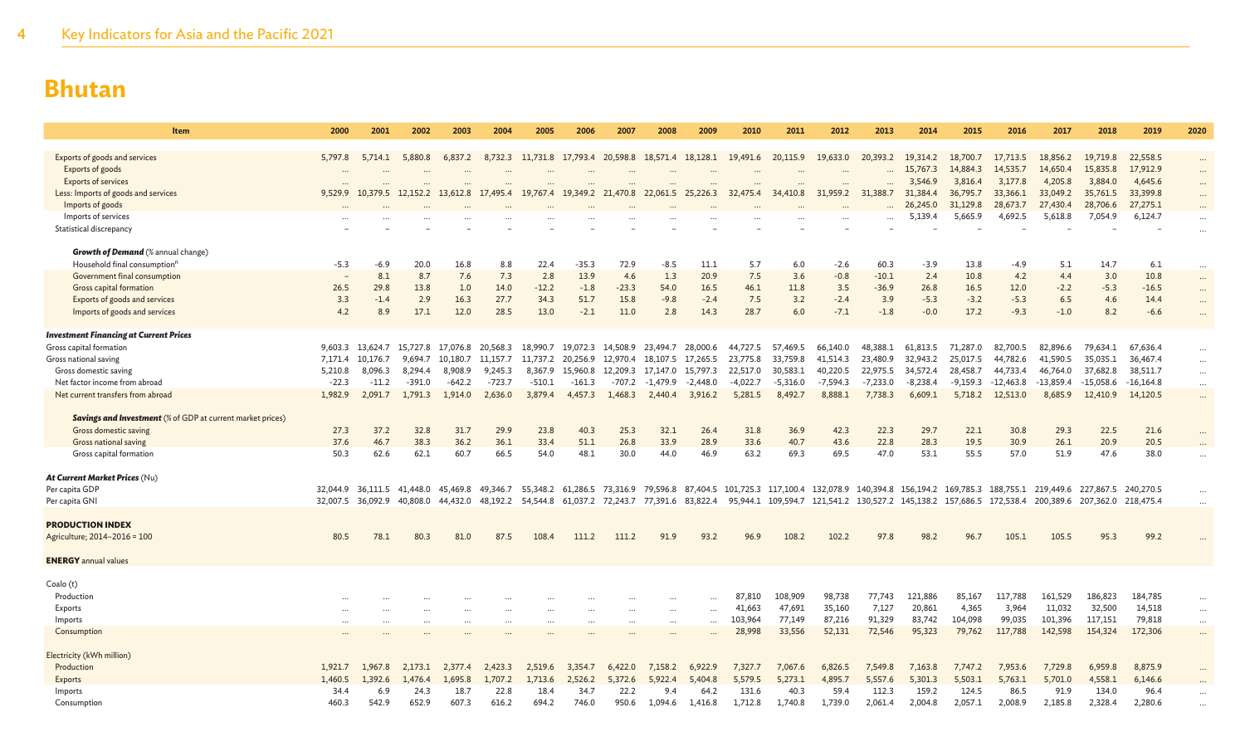| Item                                                              | 2000     | 2001                                | 2002      | 2003              | 2004     | 2005     | 2006     | 2007                                         | 2008       | 2009       | 2010       | 2011       | 2012       | 2013       | 2014       | 2015                                                                                                               | 2016        | 2017                          | 2018        | 2019        | 2020     |
|-------------------------------------------------------------------|----------|-------------------------------------|-----------|-------------------|----------|----------|----------|----------------------------------------------|------------|------------|------------|------------|------------|------------|------------|--------------------------------------------------------------------------------------------------------------------|-------------|-------------------------------|-------------|-------------|----------|
|                                                                   |          |                                     |           |                   |          |          |          |                                              |            |            |            |            |            |            |            |                                                                                                                    |             |                               |             |             |          |
| Exports of goods and services                                     | 5,797.8  | 5,714.1                             | 5,880.8   | 6,837.2           | 8,732.3  |          |          | 11,731.8 17,793.4 20,598.8 18,571.4 18,128.1 |            |            | 19,491.6   | 20,115.9   | 19,633.0   | 20,393.2   | 19,314.2   | 18,700.7                                                                                                           | 17,713.5    | 18,856.2                      | 19,719.8    | 22,558.5    | $\cdots$ |
| Exports of goods                                                  |          |                                     | $\ddotsc$ |                   |          |          |          |                                              |            |            |            | $\ddotsc$  |            |            | 15,767.3   | 14,884.3                                                                                                           | 14,535.7    | 14,650.4                      | 15,835.8    | 17,912.9    | $\cdots$ |
| <b>Exports of services</b>                                        |          |                                     |           |                   |          |          |          |                                              |            |            |            |            |            | $\ddotsc$  | 3,546.9    | 3,816.4                                                                                                            | 3.177.8     | 4.205.8                       | 3,884.0     | 4,645.6     | $\cdots$ |
| Less: Imports of goods and services                               | 9,529.9  | 10,379.5 12,152.2 13,612.8 17,495.4 |           |                   |          |          |          | 19,767.4 19,349.2 21,470.8 22,061.5 25,226.3 |            |            | 32,475.4   | 34,410.8   | 31,959.2   | 31,388.7   | 31,384.4   | 36,795.7                                                                                                           | 33,366.1    | 33,049.2                      | 35,761.5    | 33,399.8    | $\cdots$ |
| Imports of goods                                                  |          |                                     |           |                   |          |          |          |                                              |            |            |            |            |            |            | 26,245.0   | 31,129.8                                                                                                           | 28,673.7    | 27,430.4                      | 28,706.6    | 27,275.1    |          |
| Imports of services                                               |          |                                     |           |                   |          |          |          |                                              |            |            |            |            |            |            | 5,139.4    | 5,665.9                                                                                                            | 4,692.5     | 5,618.8                       | 7,054.9     | 6,124.7     |          |
| Statistical discrepancy                                           |          |                                     |           |                   |          |          |          |                                              |            |            |            |            |            |            |            |                                                                                                                    |             |                               |             |             |          |
|                                                                   |          |                                     |           |                   |          |          |          |                                              |            |            |            |            |            |            |            |                                                                                                                    |             |                               |             |             |          |
| <b>Growth of Demand</b> (% annual change)                         |          |                                     |           |                   |          |          |          |                                              |            |            |            |            |            |            |            |                                                                                                                    |             |                               |             |             |          |
| Household final consumption <sup>n</sup>                          | -5.3     | $-6.9$                              | 20.0      | 16.8              | 8.8      | 22.4     | $-35.3$  | 72.9                                         | $-8.5$     | 11.1       | 5.7        | 6.0        | $-2.6$     | 60.3       | $-3.9$     | 13.8                                                                                                               | $-4.9$      | 5.1                           | 14.7        | 6.1         | $\cdots$ |
| Government final consumption                                      |          | 8.1                                 | 8.7       | 7.6               | 7.3      | 2.8      | 13.9     | 4.6                                          | 1.3        | 20.9       | 7.5        | 3.6        | $-0.8$     | $-10.1$    | 2.4        | 10.8                                                                                                               | 4.2         | 4.4                           | 3.0         | 10.8        | $\cdots$ |
| Gross capital formation                                           | 26.5     | 29.8                                | 13.8      | 1.0               | 14.0     | $-12.2$  | $-1.8$   | $-23.3$                                      | 54.0       | 16.5       | 46.1       | 11.8       | 3.5        | $-36.9$    | 26.8       | 16.5                                                                                                               | 12.0        | $-2.2$                        | $-5.3$      | $-16.5$     | $\cdots$ |
| Exports of goods and services                                     | 3.3      | $-1.4$                              | 2.9       | 16.3              | 27.7     | 34.3     | 51.7     | 15.8                                         | $-9.8$     | $-2.4$     | 7.5        | 3.2        | $-2.4$     | 3.9        | $-5.3$     | $-3.2$                                                                                                             | $-5.3$      | 6.5                           | 4.6         | 14.4        | $\cdots$ |
| Imports of goods and services                                     | 4.2      | 8.9                                 | 17.1      | 12.0              | 28.5     | 13.0     | $-2.1$   | 11.0                                         | 2.8        | 14.3       | 28.7       | 6.0        | $-7.1$     | $-1.8$     | $-0.0$     | 17.2                                                                                                               | $-9.3$      | $-1.0$                        | 8.2         | $-6.6$      | $\cdots$ |
|                                                                   |          |                                     |           |                   |          |          |          |                                              |            |            |            |            |            |            |            |                                                                                                                    |             |                               |             |             |          |
| <b>Investment Financing at Current Prices</b>                     |          |                                     |           |                   |          |          |          |                                              |            |            |            |            |            |            |            |                                                                                                                    |             |                               |             |             |          |
| Gross capital formation                                           |          | 9,603.3 13,624.7                    | 15,727.8  | 17,076.8 20,568.3 |          |          |          | 18,990.7 19,072.3 14,508.9 23,494.7          |            | 28,000.6   | 44,727.5   | 57,469.5   | 66,140.0   | 48,388.1   | 61,813.5   | 71,287.0                                                                                                           | 82,700.5    | 82,896.6                      | 79,634.1    | 67,636.4    | $\cdots$ |
| Gross national saving                                             | 7,171.4  | 10.176.7                            | 9.694.7   | 10.180.7          | 11.157.7 | 11,737.2 | 20.256.9 | 12.970.4                                     | 18.107.5   | 17,265.5   | 23,775.8   | 33,759.8   | 41,514.3   | 23,480.9   | 32,943.2   | 25,017.5                                                                                                           | 44,782.6    | 41,590.5                      | 35,035.1    | 36,467.4    | $\cdots$ |
| Gross domestic saving                                             | 5,210.8  | 8,096.3                             | 8.294.4   | 8,908.9           | 9,245.3  | 8,367.9  |          | 15,960.8 12,209.3                            | 17,147.0   | 15,797.3   | 22,517.0   | 30,583.1   | 40,220.5   | 22,975.5   | 34,572.4   | 28,458.7                                                                                                           | 44,733.4    | 46,764.0                      | 37,682.8    | 38,511.7    | $\cdots$ |
| Net factor income from abroad                                     | $-22.3$  | $-11.2$                             | $-391.0$  | $-642.2$          | $-723.7$ | $-510.1$ | $-161.3$ | -707.2                                       | $-1,479.9$ | $-2,448.0$ | $-4,022.7$ | $-5,316.0$ | $-7,594.3$ | $-7,233.0$ | $-8,238.4$ | $-9,159.3$                                                                                                         | $-12,463.8$ | $-13,859.4$                   | $-15,058.6$ | $-16,164.8$ | $\cdots$ |
| Net current transfers from abroad                                 | 1,982.9  | 2,091.7                             | 1,791.3   | 1,914.0           | 2,636.0  | 3,879.4  | 4,457.3  | 1,468.3                                      | 2,440.4    | 3,916.2    | 5,281.5    | 8,492.7    | 8,888.1    | 7,738.3    | 6,609.1    | 5,718.2                                                                                                            | 12,513.0    | 8,685.9                       | 12,410.9    | 14,120.5    | $\cdots$ |
|                                                                   |          |                                     |           |                   |          |          |          |                                              |            |            |            |            |            |            |            |                                                                                                                    |             |                               |             |             |          |
| <b>Savings and Investment</b> (% of GDP at current market prices) |          |                                     |           |                   |          |          |          |                                              |            |            |            |            |            |            |            |                                                                                                                    |             |                               |             |             |          |
| Gross domestic saving                                             | 27.3     | 37.2                                | 32.8      | 31.7              | 29.9     | 23.8     | 40.3     | 25.3                                         | 32.1       | 26.4       | 31.8       | 36.9       | 42.3       | 22.3       | 29.7       | 22.1                                                                                                               | 30.8        | 29.3                          | 22.5        | 21.6        | $\cdots$ |
| Gross national saving                                             | 37.6     | 46.7                                | 38.3      | 36.2              | 36.1     | 33.4     | 51.1     | 26.8                                         | 33.9       | 28.9       | 33.6       | 40.7       | 43.6       | 22.8       | 28.3       | 19.5                                                                                                               | 30.9        | 26.1                          | 20.9        | 20.5        |          |
| Gross capital formation                                           | 50.3     | 62.6                                | 62.1      | 60.7              | 66.5     | 54.0     | 48.1     | 30.0                                         | 44.0       | 46.9       | 63.2       | 69.3       | 69.5       | 47.0       | 53.1       | 55.5                                                                                                               | 57.0        | 51.9                          | 47.6        | 38.0        |          |
|                                                                   |          |                                     |           |                   |          |          |          |                                              |            |            |            |            |            |            |            |                                                                                                                    |             |                               |             |             |          |
| At Current Market Prices (Nu)                                     |          |                                     |           |                   |          |          |          |                                              |            |            |            |            |            |            |            |                                                                                                                    |             |                               |             |             |          |
| Per capita GDP                                                    | 32,044.9 | 36.111.5                            | 41.448.0  | 45,469.8          | 49,346.7 |          |          |                                              |            |            |            |            |            |            |            | 55,348.2 61,286.5 73,316.9 79,596.8 87,404.5 101,725.3 117,100.4 132,078.9 140,394.8 156,194.2 169,785.3 188,755.1 |             | 219,449.6 227,867.5           |             | 240,270.5   |          |
| Per capita GNI                                                    |          | 32,007.5 36,092.9                   | 40,808.0  | 44,432.0          | 48,192.2 | 54,544.8 |          | 61,037.2 72,243.7 77,391.6 83,822.4          |            |            |            |            |            |            |            | 95,944.1 109,594.7 121,541.2 130,527.2 145,138.2 157,686.5 172,538.4                                               |             | 200,389.6 207,362.0 218,475.4 |             |             |          |
|                                                                   |          |                                     |           |                   |          |          |          |                                              |            |            |            |            |            |            |            |                                                                                                                    |             |                               |             |             |          |
| <b>PRODUCTION INDEX</b>                                           |          |                                     |           |                   |          |          |          |                                              |            |            |            |            |            |            |            |                                                                                                                    |             |                               |             |             |          |
| Agriculture; 2014-2016 = 100                                      | 80.5     | 78.1                                | 80.3      | 81.0              | 87.5     | 108.4    | 111.2    | 111.2                                        | 91.9       | 93.2       | 96.9       | 108.2      | 102.2      | 97.8       | 98.2       | 96.7                                                                                                               | 105.1       | 105.5                         | 95.3        | 99.2        |          |
|                                                                   |          |                                     |           |                   |          |          |          |                                              |            |            |            |            |            |            |            |                                                                                                                    |             |                               |             |             |          |
| <b>ENERGY</b> annual values                                       |          |                                     |           |                   |          |          |          |                                              |            |            |            |            |            |            |            |                                                                                                                    |             |                               |             |             |          |
|                                                                   |          |                                     |           |                   |          |          |          |                                              |            |            |            |            |            |            |            |                                                                                                                    |             |                               |             |             |          |
| Coalo (t)                                                         |          |                                     |           |                   |          |          |          |                                              |            |            |            |            |            |            |            |                                                                                                                    |             |                               |             |             |          |
| Production                                                        |          |                                     |           |                   |          |          |          |                                              |            |            | 87,810     | 108,909    | 98,738     | 77,743     | 121,886    | 85,167                                                                                                             | 117,788     | 161,529                       | 186,823     | 184,785     | $\cdots$ |
| Exports                                                           |          |                                     |           |                   |          | $\cdots$ | $\cdots$ | $\cdots$                                     |            | $\cdots$   | 41,663     | 47,691     | 35,160     | 7,127      | 20,861     | 4,365                                                                                                              | 3,964       | 11,032                        | 32,500      | 14,518      | $\cdots$ |
| Imports                                                           |          |                                     |           |                   |          | $\cdots$ | $\cdots$ |                                              | $\cdots$   | $\cdots$   | 103,964    | 77,149     | 87,216     | 91,329     | 83,742     | 104,098                                                                                                            | 99,035      | 101,396                       | 117,151     | 79,818      | $\cdots$ |
| Consumption                                                       |          |                                     |           |                   |          |          |          |                                              |            |            | 28,998     | 33,556     | 52,131     | 72,546     | 95,323     | 79,762                                                                                                             | 117,788     | 142,598                       | 154,324     | 172,306     | $\cdots$ |
|                                                                   |          |                                     |           |                   |          |          |          |                                              |            |            |            |            |            |            |            |                                                                                                                    |             |                               |             |             |          |
| Electricity (kWh million)                                         |          |                                     |           |                   |          |          |          |                                              |            |            |            |            |            |            |            |                                                                                                                    |             |                               |             |             |          |
| Production                                                        | 1,921.7  | 1.967.8                             | 2.173.1   | 2,377.4           | 2.423.3  | 2,519.6  | 3,354.7  | 6,422.0                                      | 7,158.2    | 6.922.9    | 7,327.7    | 7,067.6    | 6,826.5    | 7,549.8    | 7,163.8    | 7.747.2                                                                                                            | 7,953.6     | 7.729.8                       | 6,959.8     | 8,875.9     |          |
| Exports                                                           | 1,460.5  | 1,392.6                             | .476.4    | 1,695.8           | 1,707.2  | 1,713.6  | 2,526.2  | 5,372.6                                      | 5,922.4    | 5,404.8    | 5.579.5    | 5,273.1    | 4,895.7    | 5,557.6    | 5,301.3    | 5,503.1                                                                                                            | 5,763.1     | 5,701.0                       | 4,558.1     | 6,146.6     |          |
| Imports                                                           | 34.4     | 6.9                                 | 24.3      | 18.7              | 22.8     | 18.4     | 34.7     | 22.2                                         | 9.4        | 64.2       | 131.6      | 40.3       | 59.4       | 112.3      | 159.2      | 124.5                                                                                                              | 86.5        | 91.9                          | 134.0       | 96.4        |          |
| Consumption                                                       | 460.3    | 542.9                               | 652.9     | 607.3             | 616.2    | 694.2    | 746.0    | 950.6                                        | 1.094.6    | 1,416.8    | 1,712.8    | 1,740.8    | 1,739.0    | 2,061.4    | 2,004.8    | 2,057.1                                                                                                            | 2,008.9     | 2,185.8                       | 2,328.4     | 2,280.6     |          |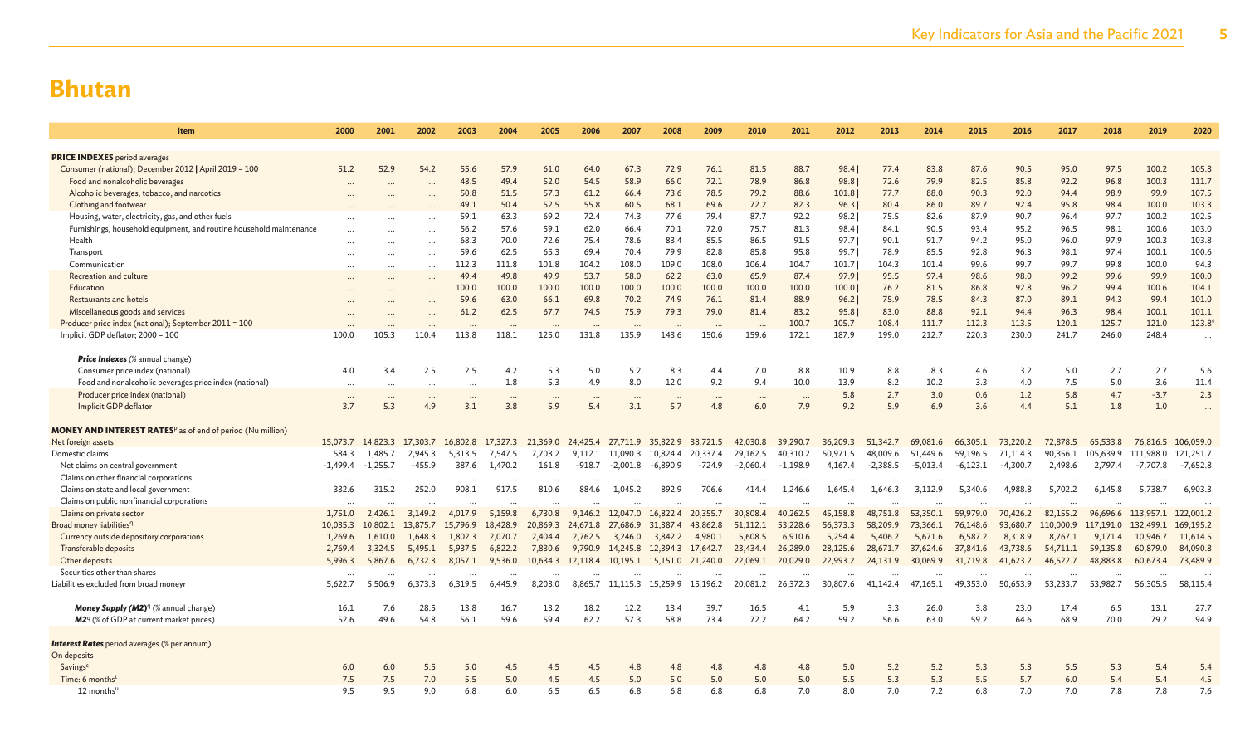| Item                                                                          | 2000       | 2001       | 2002     | 2003     | 2004      | 2005      | 2006     | 2007              | 2008                                         | 2009                     | 2010       | 2011       | 2012     | 2013       | 2014       | 2015       | 2016       | 2017      | 2018      | 2019      | 2020       |
|-------------------------------------------------------------------------------|------------|------------|----------|----------|-----------|-----------|----------|-------------------|----------------------------------------------|--------------------------|------------|------------|----------|------------|------------|------------|------------|-----------|-----------|-----------|------------|
|                                                                               |            |            |          |          |           |           |          |                   |                                              |                          |            |            |          |            |            |            |            |           |           |           |            |
| <b>PRICE INDEXES</b> period averages                                          |            |            |          |          |           |           |          |                   |                                              |                          |            |            |          |            |            |            |            |           |           |           |            |
| Consumer (national); December 2012   April 2019 = 100                         | 51.2       | 52.9       | 54.2     | 55.6     | 57.9      | 61.0      | 64.0     | 67.3              | 72.9                                         | 76.1                     | 81.5       | 88.7       | 98.4     | 77.4       | 83.8       | 87.6       | 90.5       | 95.0      | 97.5      | 100.2     | 105.8      |
| Food and nonalcoholic beverages                                               |            |            |          | 48.5     | 49.4      | 52.0      | 54.5     | 58.9              | 66.0                                         | 72.1                     | 78.9       | 86.8       | 98.8     | 72.6       | 79.9       | 82.5       | 85.8       | 92.2      | 96.8      | 100.3     | 111.7      |
| Alcoholic beverages, tobacco, and narcotics                                   |            |            |          | 50.8     | 51.5      | 57.3      | 61.2     | 66.4              | 73.6                                         | 78.5                     | 79.2       | 88.6       | 101.8    | 77.7       | 88.0       | 90.3       | 92.0       | 94.4      | 98.9      | 99.9      | 107.5      |
| Clothing and footwear                                                         |            |            |          | 49.1     | 50.4      | 52.5      | 55.8     | 60.5              | 68.1                                         | 69.6                     | 72.2       | 82.3       | 96.3     | 80.4       | 86.0       | 89.7       | 92.4       | 95.8      | 98.4      | 100.0     | 103.3      |
| Housing, water, electricity, gas, and other fuels                             |            |            |          | 59.1     | 63.3      | 69.2      | 72.4     | 74.3              | 77.6                                         | 79.4                     | 87.7       | 92.2       | 98.2     | 75.5       | 82.6       | 87.9       | 90.7       | 96.4      | 97.7      | 100.2     | 102.5      |
| Furnishings, household equipment, and routine household maintenance           |            |            |          | 56.2     | 57.6      | 59.1      | 62.0     | 66.4              | 70.1                                         | 72.0                     | 75.7       | 81.3       | 98.4     | 84.1       | 90.5       | 93.4       | 95.2       | 96.5      | 98.1      | 100.6     | 103.0      |
| Health                                                                        |            |            |          | 68.3     | 70.0      | 72.6      | 75.4     | 78.6              | 83.4                                         | 85.5                     | 86.5       | 91.5       | 97.7     | 90.1       | 91.7       | 94.2       | 95.0       | 96.0      | 97.9      | 100.3     | 103.8      |
| Transport                                                                     |            |            |          | 59.6     | 62.5      | 65.3      | 69.4     | 70.4              | 79.9                                         | 82.8                     | 85.8       | 95.8       | 99.7     | 78.9       | 85.5       | 92.8       | 96.3       | 98.1      | 97.4      | 100.1     | 100.6      |
| Communication                                                                 | $\cdots$   |            |          | 112.3    | 111.8     | 101.8     | 104.2    | 108.0             | 109.0                                        | 108.0                    | 106.4      | 104.7      | 101.7    | 104.3      | 101.4      | 99.6       | 99.7       | 99.7      | 99.8      | 100.0     | 94.3       |
| Recreation and culture                                                        |            |            |          | 49.4     | 49.8      | 49.9      | 53.7     | 58.0              | 62.2                                         | 63.0                     | 65.9       | 87.4       | 97.9     | 95.5       | 97.4       | 98.6       | 98.0       | 99.2      | 99.6      | 99.9      | 100.0      |
| Education                                                                     |            |            |          | 100.0    | 100.0     | 100.0     | 100.0    | 100.0             | 100.0                                        | 100.0                    | 100.0      | 100.0      | 100.0    | 76.2       | 81.5       | 86.8       | 92.8       | 96.2      | 99.4      | 100.6     | 104.1      |
| Restaurants and hotels                                                        |            |            |          | 59.6     | 63.0      | 66.1      | 69.8     | 70.2              | 74.9                                         | 76.1                     | 81.4       | 88.9       | 96.2     | 75.9       | 78.5       | 84.3       | 87.0       | 89.1      | 94.3      | 99.4      | 101.0      |
| Miscellaneous goods and services                                              |            |            |          | 61.2     | 62.5      | 67.7      | 74.5     | 75.9              | 79.3                                         | 79.0                     | 81.4       | 83.2       | 95.8     | 83.0       | 88.8       | 92.1       | 94.4       | 96.3      | 98.4      | 100.1     | 101.1      |
| Producer price index (national); September 2011 = 100                         |            |            |          |          |           | $\ddotsc$ |          |                   |                                              | $\overline{\phantom{a}}$ |            | 100.7      | 105.7    | 108.4      | 111.7      | 112.3      | 113.5      | 120.1     | 125.7     | 121.0     | 123.8*     |
| Implicit GDP deflator; 2000 = 100                                             | 100.0      | 105.3      | 110.4    | 113.8    | 118.1     | 125.0     | 131.8    | 135.9             | 143.6                                        | 150.6                    | 159.6      | 172.1      | 187.9    | 199.0      | 212.7      | 220.3      | 230.0      | 241.7     | 246.0     | 248.4     | $\cdots$   |
|                                                                               |            |            |          |          |           |           |          |                   |                                              |                          |            |            |          |            |            |            |            |           |           |           |            |
| <b>Price Indexes</b> (% annual change)                                        |            |            |          |          |           |           |          |                   |                                              |                          |            |            |          |            |            |            |            |           |           |           |            |
| Consumer price index (national)                                               | 4.0        | 3.4        | 2.5      | 2.5      | 4.2       | 5.3       | 5.0      | 5.2               | 8.3                                          | 4.4                      | 7.0        | 8.8        | 10.9     | 8.8        | 8.3        | 4.6        | 3.2        | 5.0       | 2.7       | 2.7       | 5.6        |
| Food and nonalcoholic beverages price index (national)                        | $\cdots$   | $\cdots$   | $\cdots$ | $\ddots$ | 1.8       | 5.3       | 4.9      | 8.0               | 12.0                                         | 9.2                      | 9.4        | 10.0       | 13.9     | 8.2        | 10.2       | 3.3        | 4.0        | 7.5       | 5.0       | 3.6       | 11.4       |
| Producer price index (national)                                               | $\cdots$   |            |          |          | $\ddotsc$ | $\ddotsc$ |          |                   |                                              |                          |            | $\cdots$   | 5.8      | 2.7        | 3.0        | 0.6        | 1.2        | 5.8       | 4.7       | $-3.7$    | 2.3        |
| Implicit GDP deflator                                                         | 3.7        | 5.3        | 4.9      | 3.1      | 3.8       | 5.9       | 5.4      | 3.1               | 5.7                                          | 4.8                      | 6.0        | 7.9        | 9.2      | 5.9        | 6.9        | 3.6        | 4.4        | 5.1       | 1.8       | 1.0       |            |
|                                                                               |            |            |          |          |           |           |          |                   |                                              |                          |            |            |          |            |            |            |            |           |           |           |            |
| <b>MONEY AND INTEREST RATES</b> <sup>p</sup> as of end of period (Nu million) |            |            |          |          |           |           |          |                   |                                              |                          |            |            |          |            |            |            |            |           |           |           |            |
| Net foreign assets                                                            | 15,073.7   | 14,823.3   | 17,303.7 | 16,802.8 | 17,327.3  | 21,369.0  |          | 24,425.4 27,711.9 |                                              | 35,822.9 38,721.5        | 42,030.8   | 39,290.7   | 36,209.3 | 51,342.7   | 69,081.6   | 66,305.1   | 73,220.2   | 72,878.5  | 65,533.8  | 76,816.5  | 106,059.0  |
| Domestic claims                                                               | 584.3      | 1,485.7    | 2.945.3  | 5.313.5  | 7,547.5   | 7.703.2   | 9.112.1  | 11.090.3          | 10,824.4                                     | 20.337.4                 | 29.162.5   | 40.310.2   | 50.971.5 | 48,009.6   | 51,449.6   | 59.196.5   | 71.114.3   | 90.356.1  | 105,639.9 | 111,988.0 | 121,251.7  |
| Net claims on central government                                              | $-1,499.4$ | $-1,255.7$ | -455.9   | 387.6    | 1,470.2   | 161.8     | -918.7   | $-2,001.8$        | $-6.890.9$                                   | $-724.9$                 | $-2,060.4$ | $-1,198.9$ | 4,167.4  | $-2,388.5$ | $-5,013.4$ | $-6,123.1$ | $-4,300.7$ | 2,498.6   | 2,797.4   | -7,707.8  | $-7,652.8$ |
| Claims on other financial corporations                                        | $\cdots$   | $\ddotsc$  | $\cdots$ |          | $\cdots$  | $\cdots$  | $\cdots$ |                   |                                              | $\cdots$                 |            | $\cdots$   |          |            | $\cdots$   | $\cdots$   |            |           | $\cdots$  |           |            |
| Claims on state and local governmen                                           | 332.6      | 315.2      | 252.0    | 908.1    | 917.5     | 810.6     | 884.6    | 1,045.2           | 892.9                                        | 706.6                    | 414.4      | 1,246.6    | 1,645.4  | 1,646.3    | 3,112.9    | 5,340.6    | 4,988.8    | 5,702.2   | 6,145.8   | 5,738.7   | 6,903.3    |
| Claims on public nonfinancial corporations                                    | $\ddotsc$  |            |          |          |           | $\sim$    |          |                   |                                              |                          |            |            |          |            |            |            |            |           |           |           |            |
| Claims on private sector                                                      | 1,751.0    | 2,426.1    | 3.149.2  | 4,017.9  | 5.159.8   | 6,730.8   | 9.146.2  | 12,047.0          | 16,822.4                                     | 20,355.7                 | 30,808.4   | 40.262.5   | 45,158.8 | 48.751.8   | 53,350.1   | 59,979.0   | 70,426.2   | 82.155.2  | 96,696.6  | 113,957.1 | 122,001.2  |
| Broad money liabilities <sup>q</sup>                                          | 10,035.3   | 10,802.1   | 13,875.7 | 15,796.9 | 18,428.9  | 20,869.3  | 24,671.8 | 27,686.9          | 31,387.4                                     | 43,862.8                 | 51,112.1   | 53,228.6   | 56,373.3 | 58,209.9   | 73,366.1   | 76,148.6   | 93,680.7   | 110,000.9 | 117,191.0 | 132,499.1 | 169,195.2  |
| Currency outside depository corporations                                      | 1,269.6    | 1,610.0    | 1,648.3  | 1,802.3  | 2,070.7   | 2,404.4   | 2,762.5  | 3,246.0           | 3,842.2                                      | 4,980.1                  | 5,608.5    | 6,910.6    | 5,254.4  | 5,406.2    | 5,671.6    | 6,587.2    | 8,318.9    | 8,767.1   | 9,171.4   | 10,946.7  | 11,614.5   |
| Transferable deposits                                                         | 2,769.4    | 3,324.5    | 5,495.1  | 5,937.5  | 6,822.2   | 7,830.6   | 9,790.9  | 14,245.8          | 12,394.3                                     | 17,642.7                 | 23,434.4   | 26,289.0   | 28,125.6 | 28,671.7   | 37,624.6   | 37,841.6   | 43,738.6   | 54,711.1  | 59,135.8  | 60,879.0  | 84,090.8   |
| Other deposits                                                                | 5,996.3    | 5,867.6    | 6,732.3  | 8,057.1  | 9,536.0   |           |          |                   | 10,634.3 12,118.4 10,195.1 15,151.0 21,240.0 |                          | 22,069.1   | 20,029.0   | 22,993.2 | 24,131.9   | 30,069.9   | 31,719.8   | 41,623.2   | 46,522.7  | 48,883.8  | 60,673.4  | 73,489.9   |
| Securities other than shares                                                  | $\cdots$   |            |          |          |           |           |          |                   |                                              |                          |            |            |          |            |            |            |            |           |           |           |            |
| Liabilities excluded from broad moneyr                                        | 5,622.7    | 5.506.9    | 6,373.3  | 6,319.5  | 6.445.9   | 8,203.0   |          | 8.865.7 11.115.3  | 15.259.9                                     | 15.196.2                 | 20,081.2   | 26,372.3   | 30,807.6 | 41,142.4   | 47,165.1   | 49.353.0   | 50.653.9   | 53.233.7  | 53,982.7  | 56,305.5  | 58,115.4   |
|                                                                               |            |            |          |          |           |           |          |                   |                                              |                          |            |            |          |            |            |            |            |           |           |           |            |
| <b>Money Supply (M2)</b> <sup>q</sup> (% annual change)                       | 16.1       | 7.6        | 28.5     | 13.8     | 16.7      | 13.2      | 18.2     | 12.2              | 13.4                                         | 39.7                     | 16.5       | 4.1        | 5.9      | 3.3        | 26.0       | 3.8        | 23.0       | 17.4      | 6.5       | 13.1      | 27.7       |
| M2 <sup>q</sup> (% of GDP at current market prices)                           | 52.6       | 49.6       | 54.8     | 56.1     | 59.6      | 59.4      | 62.2     | 57.3              | 58.8                                         | 73.4                     | 72.2       | 64.2       | 59.2     | 56.6       | 63.0       | 59.2       | 64.6       | 68.9      | 70.0      | 79.2      | 94.9       |
|                                                                               |            |            |          |          |           |           |          |                   |                                              |                          |            |            |          |            |            |            |            |           |           |           |            |
| <b>Interest Rates</b> period averages (% per annum)                           |            |            |          |          |           |           |          |                   |                                              |                          |            |            |          |            |            |            |            |           |           |           |            |
| On deposits                                                                   |            |            |          |          |           |           |          |                   |                                              |                          |            |            |          |            |            |            |            |           |           |           |            |
| Savings <sup>s</sup>                                                          | 6.0        | 6.0        | 5.5      | 5.0      | 4.5       | 4.5       | 4.5      | 4.8               | 4.8                                          | 4.8                      | 4.8        | 4.8        | 5.0      | 5.2        | 5.2        | 5.3        | 5.3        | 5.5       | 5.3       | 5.4       | 5.4        |
| Time: 6 months <sup>t</sup>                                                   | 7.5        | 7.5        | 7.0      | 5.5      | 5.0       | 4.5       | 4.5      | 5.0               | 5.0                                          | 5.0                      | 5.0        | 5.0        | 5.5      | 5.3        | 5.3        | 5.5        | 5.7        | 6.0       | 5.4       | 5.4       | 4.5        |
| $12$ months <sup>u</sup>                                                      | 9.5        | 9.5        | 9.0      | 6.8      | 6.0       | 6.5       | 6.5      | 6.8               | 6.8                                          | 6.8                      | 6.8        | 7.0        | 8.0      | 7.0        | 7.2        | 6.8        | 7.0        | 7.0       | 7.8       | 7.8       | 7.6        |
|                                                                               |            |            |          |          |           |           |          |                   |                                              |                          |            |            |          |            |            |            |            |           |           |           |            |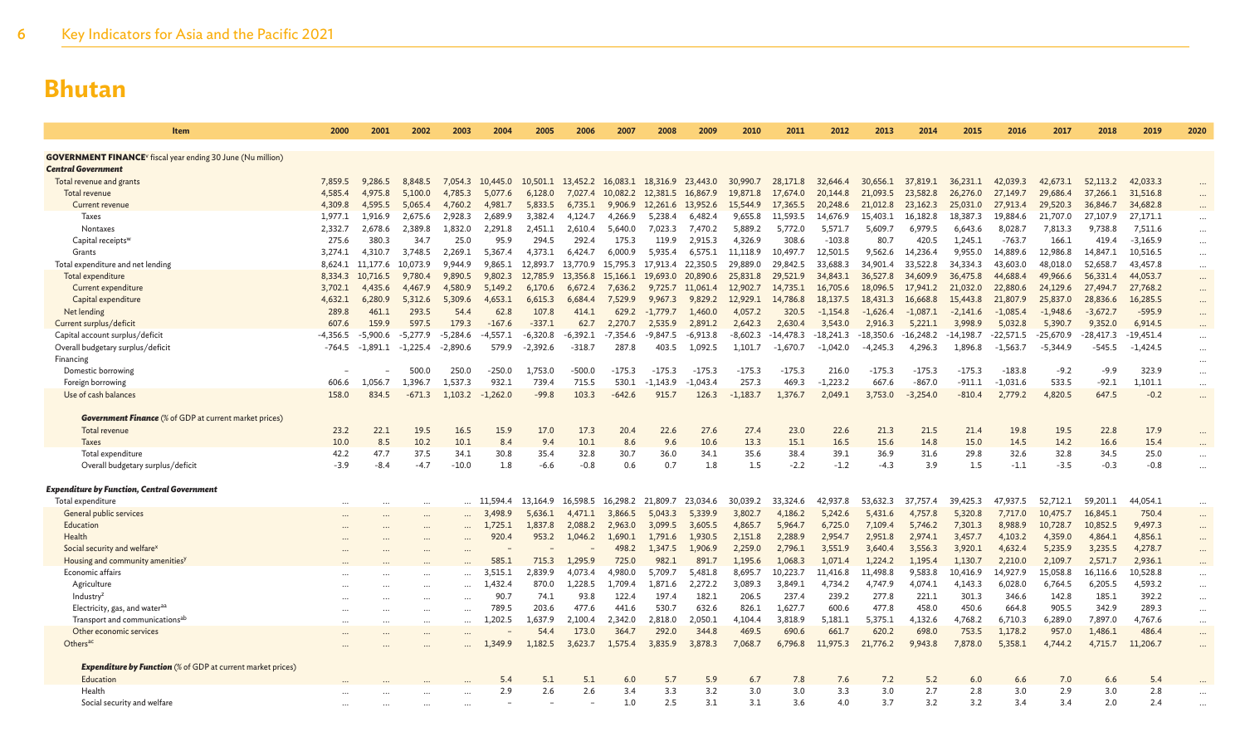| Item                                                                           | 2000       | 2001             | 2002       | 2003       | 2004          | 2005       | 2006       | 2007       | 2008       | 2009       | 2010       | 2011        | 2012        | 2013        | 2014        | 2015        | 2016        | 2017        | 2018        | 2019        | 2020                 |
|--------------------------------------------------------------------------------|------------|------------------|------------|------------|---------------|------------|------------|------------|------------|------------|------------|-------------|-------------|-------------|-------------|-------------|-------------|-------------|-------------|-------------|----------------------|
|                                                                                |            |                  |            |            |               |            |            |            |            |            |            |             |             |             |             |             |             |             |             |             |                      |
| <b>GOVERNMENT FINANCE</b> <sup>V</sup> fiscal year ending 30 June (Nu million) |            |                  |            |            |               |            |            |            |            |            |            |             |             |             |             |             |             |             |             |             |                      |
| Central Government                                                             |            |                  |            |            |               |            |            |            |            |            |            |             |             |             |             |             |             |             |             |             |                      |
| Total revenue and grants                                                       | 7,859.5    | 9.286.5          | 8.848.5    | 7.054.3    | 10,445.0      | 10,501.1   | 13,452.2   | 16.083.1   | 18,316.9   | 23,443.0   | 30,990.7   | 28,171.8    | 32,646.4    | 30.656.1    | 37,819.1    | 36.231.1    | 42,039.3    | 42.673.1    | 52,113.2    | 42,033.3    | $\cdots$             |
| Total revenue                                                                  | 4,585.4    | 4,975.8          | 5,100.0    | 4,785.3    | 5,077.6       | 6,128.0    | 7,027.4    | 10,082.2   | 12,381.5   | 16,867.9   | 19,871.8   | 17,674.0    | 20,144.8    | 21,093.5    | 23,582.8    | 26,276.0    | 27,149.7    | 29,686.4    | 37,266.1    | 31,516.8    | $\cdots$             |
| Current revenue                                                                | 4,309.8    | 4,595.5          | 5,065.4    | 4,760.2    | 4,981.7       | 5,833.5    | 6,735.1    | 9,906.9    | 12,261.6   | 13,952.6   | 15,544.9   | 17,365.5    | 20,248.6    | 21,012.8    | 23,162.3    | 25,031.0    | 27,913.4    | 29,520.3    | 36,846.7    | 34,682.8    |                      |
| Taxes                                                                          | 1,977.1    | 1,916.9          | 2.675.6    | 2.928.3    | 2.689.9       | 3.382.4    | 4.124.7    | 4.266.9    | 5,238.4    | 6,482.4    | 9,655.8    | 11,593.5    | 14,676.9    | 15,403.1    | 16,182.8    | 18,387.3    | 19,884.6    | 21,707.0    | 27,107.9    | 27,171.1    | $\cdots$             |
| Nontaxes                                                                       | 2,332.7    | 2,678.6          | 2.389.8    | 1.832.0    | 2.291.8       | 2.451.1    | 2.610.4    | 5.640.0    | 7.023.3    | 7.470.2    | 5.889.2    | 5.772.0     | 5.571.7     | 5.609.7     | 6.979.5     | 6.643.6     | 8,028.7     | 7,813.3     | 9,738.8     | 7,511.6     | $\cdots$             |
| Capital receipts <sup>w</sup>                                                  | 275.6      | 380.3            | 34.7       | 25.0       | 95.9          | 294.5      | 292.4      | 175.3      | 119.9      | 2.915.3    | 4.326.9    | 308.6       | $-103.8$    | 80.7        | 420.5       | 1.245.1     | $-763.7$    | 166.1       | 419.4       | $-3,165.9$  | $\cdots$             |
| Grants                                                                         | 3,274.1    | 4,310.7          | 3,748.5    | 2.269.1    | 5.367.4       | 4.373.1    | 6.424.7    | 6.000.9    | 5,935.4    | 6,575.1    | 11,118.9   | 10,497.7    | 12,501.5    | 9,562.6     | 14,236.4    | 9,955.0     | 14,889.6    | 12,986.8    | 14,847.1    | 10,516.5    | $\cdots$             |
| Total expenditure and net lending                                              | 8,624.1    | 11,177.6         | 10.073.9   | 9.944.9    | 9.865.1       | 12,893.7   | 13.770.9   | 15,795.3   | 17,913.4   | 22,350.5   | 29,889.0   | 29,842.5    | 33,688.3    | 34,901.4    | 33,522.8    | 34,334.3    | 43,603.0    | 48,018.0    | 52,658.7    | 43,457.8    | $\cdots$             |
| Total expenditure                                                              |            | 8,334.3 10,716.5 | 9,780.4    | 9.890.5    | 9,802.3       | 12,785.9   | 13.356.8   | 15,166.1   | 19,693.0   | 20,890.6   | 25,831.8   | 29,521.9    | 34,843.1    | 36,527.8    | 34,609.9    | 36,475.8    | 44,688.4    | 49,966.6    | 56,331.4    | 44,053.7    | $\cdots$             |
| Current expenditure                                                            | 3,702.1    | 4,435.6          | 4,467.9    | 4.580.9    | 5.149.2       | 6.170.6    | 6,672.4    | 7,636.2    | 9,725.7    | 11,061.4   | 12,902.7   | 14,735.1    | 16,705.6    | 18,096.5    | 17,941.2    | 21,032.0    | 22,880.6    | 24,129.6    | 27,494.7    | 27,768.2    | $\cdots$             |
| Capital expenditure                                                            | 4,632.1    | 6,280.9          | 5,312.6    | 5,309.6    | 4,653.1       | 6,615.3    | 6,684.4    | 7,529.9    | 9,967.3    | 9,829.2    | 12,929.1   | 14,786.8    | 18,137.5    | 18,431.3    | 16,668.8    | 15,443.8    | 21,807.9    | 25,837.0    | 28,836.6    | 16,285.5    | $\cdots$             |
| Net lending                                                                    | 289.8      | 461.1            | 293.5      | 54.4       | 62.8          | 107.8      | 414.1      | 629.2      | $-1,779.7$ | 1,460.0    | 4,057.2    | 320.5       | $-1,154.8$  | $-1,626.4$  | $-1,087.1$  | $-2,141.6$  | $-1,085.4$  | $-1,948.6$  | $-3,672.7$  | $-595.9$    | $\cdots$             |
| Current surplus/deficit                                                        | 607.6      | 159.9            | 597.5      | 179.3      | $-167.6$      | $-337.1$   | 62.7       | 2.270.7    | 2,535.9    | 2,891.2    | 2,642.3    | 2,630.4     | 3,543.0     | 2,916.3     | 5,221.1     | 3,998.9     | 5,032.8     | 5,390.7     | 9,352.0     | 6,914.5     | $\cdots$             |
| Capital account surplus/deficit                                                | $-4.356.5$ | $-5.900.6$       | $-5.277.9$ | $-5.284.6$ | -4.557.1      | $-6.320.8$ | $-6.392.1$ | $-7.354.6$ | -9.847.5   | $-6.913.8$ | -8.602.3   | $-14.478.3$ | $-18.241.3$ | $-18,350.6$ | $-16,248.2$ | $-14.198.7$ | $-22,571.5$ | $-25,670.9$ | $-28.417.3$ | $-19,451.4$ | $\cdots$             |
| Overall budgetary surplus/deficit                                              | $-764.5$   | $-1.891.1$       | $-1.225.4$ | $-2.890.6$ | 579.9         | $-2,392.6$ | $-318.7$   | 287.8      | 403.5      | 1.092.5    | 1,101.7    | $-1.670.7$  | $-1.042.0$  | $-4,245.3$  | 4,296.3     | 1,896.8     | $-1,563.7$  | $-5.344.9$  | $-545.5$    | $-1,424.5$  | $\cdots$             |
| Financing                                                                      |            |                  |            |            |               |            |            |            |            |            |            |             |             |             |             |             |             |             |             |             | $\cdots$             |
| Domestic borrowing                                                             |            |                  | 500.0      | 250.0      | $-250.0$      | 1.753.0    | $-500.0$   | $-175.3$   | $-175.3$   | $-175.3$   | $-175.3$   | $-175.3$    | 216.0       | $-175.3$    | $-175.3$    | $-175.3$    | $-183.8$    | $-9.2$      | $-9.9$      | 323.9       | $\cdots$             |
| Foreign borrowing                                                              | 606.6      | 1.056.7          | 1.396.7    | 1.537.3    | 932.1         | 739.4      | 715.5      | 530.1      | -1.143.9   | $-1.043.4$ | 257.3      | 469.3       | $-1,223.2$  | 667.6       | $-867.0$    | $-911.1$    | $-1,031.6$  | 533.5       | $-92.1$     | 1,101.1     | $\cdots$             |
| Use of cash balances                                                           | 158.0      | 834.5            | $-671.3$   | 1,103.2    | $-1,262.0$    | $-99.8$    | 103.3      | $-642.6$   | 915.7      | 126.3      | $-1,183.7$ | 1,376.7     | 2,049.1     | 3,753.0     | $-3,254.0$  | $-810.4$    | 2,779.2     | 4,820.5     | 647.5       | $-0.2$      | $\cdots$             |
|                                                                                |            |                  |            |            |               |            |            |            |            |            |            |             |             |             |             |             |             |             |             |             |                      |
| <b>Government Finance</b> (% of GDP at current market prices)                  |            |                  |            |            |               |            |            |            |            |            |            |             |             |             |             |             |             |             |             |             |                      |
| Total revenue                                                                  | 23.2       | 22.1             | 19.5       | 16.5       | 15.9          | 17.0       | 17.3       | 20.4       | 22.6       | 27.6       | 27.4       | 23.0        | 22.6        | 21.3        | 21.5        | 21.4        | 19.8        | 19.5        | 22.8        | 17.9        | $\cdots$             |
| Taxes                                                                          | 10.0       | 8.5<br>47.7      | 10.2       | 10.1       | 8.4           | 9.4        | 10.1       | 8.6        | 9.6        | 10.6       | 13.3       | 15.1        | 16.5        | 15.6        | 14.8        | 15.0        | 14.5        | 14.2        | 16.6        | 15.4        |                      |
| Total expenditure                                                              | 42.2       |                  | 37.5       | 34.1       | 30.8          | 35.4       | 32.8       | 30.7       | 36.0       | 34.1       | 35.6       | 38.4        | 39.1        | 36.9        | 31.6        | 29.8        | 32.6        | 32.8        | 34.5        | 25.0        | $\cdots$             |
| Overall budgetary surplus/deficit                                              | $-3.9$     | $-8.4$           | $-4.7$     | $-10.0$    | 1.8           | $-6.6$     | $-0.8$     | 0.6        | 0.7        | 1.8        | 1.5        | $-2.2$      | $-1.2$      | $-4.3$      | 3.9         | 1.5         | $-1.1$      | $-3.5$      | $-0.3$      | $-0.8$      | $\cdots$             |
| <b>Expenditure by Function, Central Government</b>                             |            |                  |            |            |               |            |            |            |            |            |            |             |             |             |             |             |             |             |             |             |                      |
| Total expenditure                                                              |            |                  |            |            | - 11<br>594.4 | 13.164.9   | 16.598.5   | 16,298.2   | 21.809.7   | 23,034.6   | 30,039.2   | 33.324.6    | 42,937.8    | 53.632.3    | 37.757.4    | 39,425.3    | 47,937.5    | 52.712.1    | 59.201.1    | 44,054.1    |                      |
| General public services                                                        |            |                  |            |            | 3,498.9       | 5,636.1    | 4,471.1    | 3,866.5    | 5,043.3    | 5,339.9    | 3,802.7    | 4,186.2     | 5,242.6     | 5,431.6     | 4,757.8     | 5,320.8     | 7,717.0     | 10,475.7    | 16,845.1    | 750.4       | $\cdots$             |
| Education                                                                      |            |                  | $\cdots$   |            | ,725.1        | 1,837.8    | 2,088.2    | 2,963.0    | 3,099.5    | 3,605.5    | 4,865.7    | 5,964.7     | 6,725.0     | 7,109.4     | 5,746.2     | 7,301.3     | 8,988.9     | 10,728.7    | 10,852.5    | 9,497.3     | $\cdots$             |
| Health                                                                         |            |                  |            |            | 920.4         | 953.2      | 1,046.2    | 1.690.1    | 1.791.6    | 1,930.5    | 2,151.8    | 2,288.9     | 2,954.7     | 2,951.8     | 2,974.1     | 3,457.7     | 4,103.2     | 4,359.0     | 4,864.1     | 4,856.1     | $\cdots$             |
| Social security and welfare <sup>x</sup>                                       |            |                  | $\cdots$   |            |               |            |            | 498.2      | 1,347.5    | 1,906.9    | 2,259.0    | 2,796.1     | 3,551.9     | 3,640.4     | 3,556.3     | 3,920.1     | 4,632.4     | 5,235.9     | 3,235.5     | 4,278.7     | $\cdots$             |
| Housing and community amenities <sup>)</sup>                                   |            |                  | $\cdots$   | $\ddotsc$  | 585.1         | 715.3      | 1.295.9    | 725.0      | 982.3      | 891.7      | 1.195.6    | 1.068.3     | 1,071.4     | 1.224.2     | 1,195.4     | 1.130.7     | 2,210.0     | 2,109.7     | 2,571.7     | 2,936.1     | $\cdots$             |
| Economic affairs                                                               |            |                  |            |            | ,515.1        | 2,839.9    | 4,073.4    | 4,980.0    | 5,709.7    | 5,481.8    | 8,695.7    | 10,223.7    | 11,416.8    | 11,498.8    | 9,583.8     | 10,416.9    | 14,927.9    | 15,058.8    | 16,116.6    | 10,528.8    | $\cdots$             |
| Agriculture                                                                    |            |                  | <br>       | $\cdots$   | 432.4         | 870.0      | 1,228.5    | 1.709.4    | 1,871.6    | 2,272.2    | 3,089.3    | 3,849.1     | 4,734.2     | 4,747.9     | 4,074.1     | 4,143.3     | 6,028.0     | 6,764.5     | 6,205.5     | 4,593.2     | $\cdots$             |
| Industry <sup>z</sup>                                                          |            |                  |            |            | 90.7          | 74.1       | 93.8       | 122.4      | 197.4      | 182.1      | 206.5      | 237.4       | 239.2       | 277.8       | 221.1       | 301.3       | 346.6       | 142.8       | 185.1       | 392.2       | $\cdots$             |
| Electricity, gas, and water <sup>aa</sup>                                      |            |                  | <br>       | $\cdots$   | 789.5         | 203.6      | 477.6      | 441.6      | 530.7      | 632.6      | 826.1      | 1.627.7     | 600.6       | 477.8       | 458.0       | 450.6       | 664.8       | 905.5       | 342.9       | 289.3       | $\cdots$<br>$\cdots$ |
| Transport and communications <sup>ab</sup>                                     | $\cdots$   |                  | $\cdots$   | $\cdots$   | .202.5        | 1.637.9    | 2,100.4    | 2.342.0    | 2.818.0    | 2,050.1    | 4,104.4    | 3,818.9     | 5,181.1     | 5,375.1     | 4,132.6     | 4,768.2     | 6,710.3     | 6,289.0     | 7,897.0     | 4,767.6     | $\cdots$             |
| Other economic services                                                        |            |                  |            | $\cdots$   |               | 54.4       | 173.0      | 364.7      | 292.0      | 344.8      | 469.5      | 690.6       | 661.7       | 620.2       | 698.0       | 753.5       | 1,178.2     | 957.0       | 1,486.1     | 486.4       | $\cdots$             |
| Others <sup>ac</sup>                                                           |            |                  |            | $\cdots$   | 1,349.9       | 1,182.5    | 3,623.7    | 1,575.4    | 3,835.9    | 3,878.3    | 7,068.7    | 6,796.8     | 11,975.3    | 21,776.2    | 9,943.8     | 7,878.0     | 5,358.1     | 4,744.2     | 4,715.7     | 11,206.7    | $\cdots$             |
|                                                                                |            |                  |            |            |               |            |            |            |            |            |            |             |             |             |             |             |             |             |             |             |                      |
| <b>Expenditure by Function</b> (% of GDP at current market prices)             |            |                  |            |            |               |            |            |            |            |            |            |             |             |             |             |             |             |             |             |             |                      |
| Education                                                                      |            |                  |            |            | 5.4           | 5.1        | 5.1        | 6.0        | 5.7        | 5.9        | 6.7        | 7.8         | 7.6         | 7.2         | 5.2         | 6.0         | 6.6         | 7.0         | 6.6         | 5.4         |                      |
| Health                                                                         |            |                  |            |            | 2.9           | 2.6        | 2.6        | 3.4        | 3.3        | 3.2        | 3.0        | 3.0         | 3.3         | 3.0         | 2.7         | 2.8         | 3.0         | 2.9         | 3.0         | 2.8         |                      |
| Social security and welfare                                                    |            |                  |            | $\ddotsc$  |               |            |            | 1.0        | 2.5        | 3.1        | 3.1        | 3.6         | 4.0         | 3.7         | 3.2         | 3.2         | 3.4         | 3.4         | 2.0         | 2.4         |                      |
|                                                                                |            |                  |            |            |               |            |            |            |            |            |            |             |             |             |             |             |             |             |             |             |                      |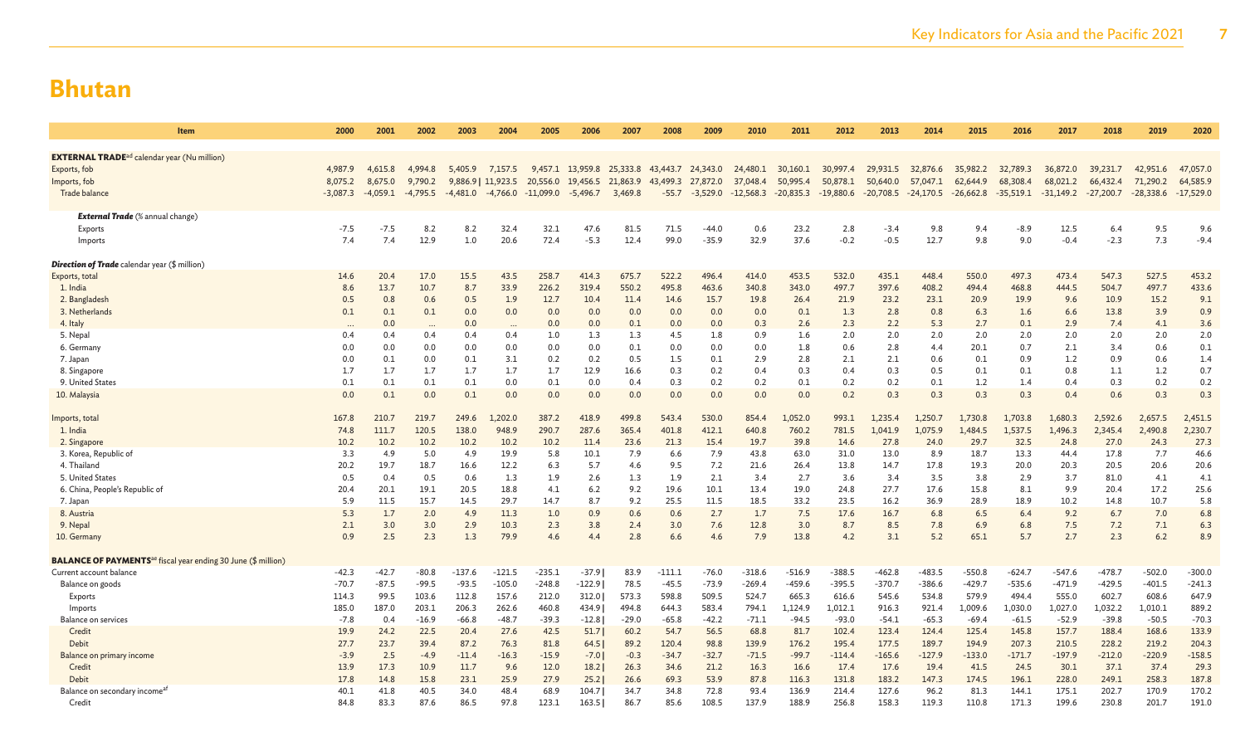| Item                                                                             | 2000        | 2001        | 2002        | 2003                  | 2004                     | 2005        | 2006                      | 2007       | 2008              | 2009        | 2010        | 2011        | 2012                  | 2013        | 2014                    | 2015        | 2016        | 2017        | 2018         | 2019        | 2020         |
|----------------------------------------------------------------------------------|-------------|-------------|-------------|-----------------------|--------------------------|-------------|---------------------------|------------|-------------------|-------------|-------------|-------------|-----------------------|-------------|-------------------------|-------------|-------------|-------------|--------------|-------------|--------------|
|                                                                                  |             |             |             |                       |                          |             |                           |            |                   |             |             |             |                       |             |                         |             |             |             |              |             |              |
| <b>EXTERNAL TRADE</b> <sup>ad</sup> calendar year (Nu million)                   |             |             |             |                       |                          |             |                           |            |                   |             |             |             |                       |             |                         |             |             |             |              |             |              |
| Exports, fob                                                                     | 4,987.9     | 4.615.8     | 4,994.8     | 5,405.9               | 7,157.5                  |             | 9,457.1 13,959.8 25,333.8 |            | 43,443.7 24,343.0 |             | 24,480.1    | 30,160.1    | 30,997.4              | 29,931.5    | 32,876.6                | 35,982.2    | 32,789.3    | 36,872.0    | 39,231.7     | 42,951.6    | 47,057.0     |
| Imports, fob                                                                     | 8,075.2     | 8,675.0     | 9,790.2     |                       | 9,886.9   11,923.5       | 20,556.0    | 19,456.5 21,863.9         |            | 43,499.3          | 27,872.0    | 37,048.4    | 50,995.4    | 50,878.1              | 50,640.0    | 57,047.1                | 62,644.9    | 68,308.4    | 68,021.2    | 66,432.4     | 71,290.2    | 64,585.9     |
| Trade balance                                                                    | $-3,087.3$  | $-4,059.1$  | $-4,795.5$  | $-4,481.0$ $-4,766.0$ |                          | $-11,099.0$ | $-5,496.7$                | 3,469.8    | $-55.7$           | $-3,529.0$  | $-12,568.3$ |             | $-20,835.3 -19,880.6$ | $-20,708.5$ | $-24,170.5$ $-26,662.8$ |             | $-35,519.1$ | $-31,149.2$ | $-27,200.7$  | $-28,338.6$ | $-17,529.0$  |
|                                                                                  |             |             |             |                       |                          |             |                           |            |                   |             |             |             |                       |             |                         |             |             |             |              |             |              |
| <b>External Trade</b> (% annual change)                                          |             |             |             |                       |                          |             |                           |            |                   |             |             |             |                       |             |                         |             |             |             |              |             |              |
| Exports                                                                          | $-7.5$      | -7.5        | 8.2         | 8.2                   | 32.4                     | 32.1        | 47.6                      | 81.5       | 71.5              | $-44.0$     | 0.6         | 23.2        | 2.8                   | $-3.4$      | 9.8                     | 9.4         | $-8.9$      | 12.5        | 6.4          | 9.5         | 9.6          |
| Imports                                                                          | 7.4         | 7.4         | 12.9        | 1.0                   | 20.6                     | 72.4        | $-5.3$                    | 12.4       | 99.0              | $-35.9$     | 32.9        | 37.6        | $-0.2$                | $-0.5$      | 12.7                    | 9.8         | 9.0         | $-0.4$      | $-2.3$       | 7.3         | $-9.4$       |
| <b>Direction of Trade</b> calendar year (\$ million)                             |             |             |             |                       |                          |             |                           |            |                   |             |             |             |                       |             |                         |             |             |             |              |             |              |
| Exports, total                                                                   | 14.6        | 20.4        | 17.0        | 15.5                  | 43.5                     | 258.7       | 414.3                     | 675.7      | 522.2             | 496.4       | 414.0       | 453.5       | 532.0                 | 435.1       | 448.4                   | 550.0       | 497.3       | 473.4       | 547.3        | 527.5       | 453.2        |
| 1. India                                                                         | 8.6         | 13.7        | 10.7        | 8.7                   | 33.9                     | 226.2       | 319.4                     | 550.2      | 495.8             | 463.6       | 340.8       | 343.0       | 497.7                 | 397.6       | 408.2                   | 494.4       | 468.8       | 444.5       | 504.7        | 497.7       | 433.6        |
| 2. Bangladesh                                                                    | 0.5         | 0.8         | 0.6         | 0.5                   | 1.9                      | 12.7        | 10.4                      | 11.4       | 14.6              | 15.7        | 19.8        | 26.4        | 21.9                  | 23.2        | 23.1                    | 20.9        | 19.9        | 9.6         | 10.9         | 15.2        | 9.1          |
| 3. Netherlands                                                                   | 0.1         | 0.1         | 0.1         | 0.0                   | 0.0                      | 0.0         | 0.0                       | 0.0        | 0.0               | 0.0         | 0.0         | 0.1         | 1.3                   | 2.8         | 0.8                     | 6.3         | 1.6         | 6.6         | 13.8         | 3.9         | 0.9          |
| 4. Italy                                                                         | $\cdots$    | 0.0         | $\cdots$    | 0.0                   | $\overline{\phantom{a}}$ | 0.0         | 0.0                       | 0.1        | 0.0               | 0.0         | 0.3         | 2.6         | 2.3                   | 2.2         | 5.3                     | 2.7         | 0.1         | 2.9         | 7.4          | 4.1         | 3.6          |
| 5. Nepal                                                                         | 0.4         | 0.4         | 0.4         | 0.4                   | 0.4                      | 1.0         | 1.3                       | 1.3        | 4.5               | 1.8         | 0.9         | 1.6         | 2.0                   | 2.0         | 2.0                     | 2.0         | 2.0         | 2.0         | 2.0          | 2.0         | 2.0          |
| 6. Germany                                                                       | 0.0         | 0.0         | 0.0         | 0.0                   | 0.0                      | 0.0         | 0.0                       | 0.1        | 0.0               | 0.0         | 0.0         | 1.8         | 0.6                   | 2.8         | 4.4                     | 20.1        | 0.7         | 2.1         | 3.4          | 0.6         | 0.1          |
| 7. Japan                                                                         | 0.0         | 0.1         | 0.0         | 0.1                   | 3.1                      | 0.2         | 0.2                       | 0.5        | 1.5               | 0.1         | 2.9         | 2.8         | 2.1                   | 2.1         | 0.6                     | 0.1         | 0.9         | 1.2         | 0.9          | 0.6         | 1.4          |
| 8. Singapore                                                                     | 1.7         | 1.7         | 1.7         | 1.7                   | 1.7                      | 1.7         | 12.9                      | 16.6       | 0.3               | 0.2         | 0.4         | 0.3         | 0.4                   | 0.3         | 0.5                     | 0.1         | 0.1         | 0.8         | 1.1          | 1.2         | 0.7          |
| 9. United States                                                                 | 0.1         | 0.1         | 0.1         | 0.1                   | 0.0                      | 0.1         | 0.0                       | 0.4        | 0.3               | 0.2         | 0.2         | 0.1         | 0.2                   | 0.2         | 0.1                     | 1.2         | 1.4         | 0.4         | 0.3          | 0.2         | 0.2          |
| 10. Malaysia                                                                     | 0.0         | 0.1         | 0.0         | 0.1                   | 0.0                      | 0.0         | 0.0                       | 0.0        | 0.0               | 0.0         | 0.0         | 0.0         | 0.2                   | 0.3         | 0.3                     | 0.3         | 0.3         | 0.4         | 0.6          | 0.3         | 0.3          |
|                                                                                  |             |             |             |                       |                          |             |                           |            |                   |             |             |             |                       |             |                         |             |             |             |              |             |              |
| Imports, total                                                                   | 167.8       | 210.7       | 219.7       | 249.6                 | 1,202.0                  | 387.2       | 418.9                     | 499.8      | 543.4             | 530.0       | 854.4       | 1,052.0     | 993.1                 | 1,235.4     | 1.250.7                 | 1,730.8     | 1,703.8     | 1,680.3     | 2,592.6      | 2,657.5     | 2,451.5      |
| 1. India                                                                         | 74.8        | 111.7       | 120.5       | 138.0                 | 948.9                    | 290.7       | 287.6                     | 365.4      | 401.8             | 412.1       | 640.8       | 760.2       | 781.5                 | 1.041.9     | 1,075.9                 | 1.484.5     | 1,537.5     | 1,496.3     | 2,345.4      | 2,490.8     | 2,230.7      |
| 2. Singapore                                                                     | 10.2        | 10.2        | 10.2        | 10.2                  | 10.2                     | 10.2        | 11.4                      | 23.6       | 21.3              | 15.4        | 19.7        | 39.8        | 14.6                  | 27.8        | 24.0                    | 29.7        | 32.5        | 24.8        | 27.0         | 24.3        | 27.3         |
| 3. Korea, Republic of                                                            | 3.3         | 4.9         | 5.0         | 4.9                   | 19.9                     | 5.8         | 10.1                      | 7.9        | 6.6               | 7.9         | 43.8        | 63.0        | 31.0                  | 13.0        | 8.9                     | 18.7        | 13.3        | 44.4        | 17.8         | 7.7         | 46.6<br>20.6 |
| 4. Thailand                                                                      | 20.2        | 19.7        | 18.7        | 16.6                  | 12.2                     | 6.3         | 5.7                       | 4.6        | 9.5               | 7.2         | 21.6        | 26.4        | 13.8                  | 14.7        | 17.8                    | 19.3        | 20.0        | 20.3        | 20.5         | 20.6        |              |
| 5. United States                                                                 | 0.5<br>20.4 | 0.4<br>20.1 | 0.5<br>19.1 | 0.6<br>20.5           | 1.3<br>18.8              | 1.9<br>4.1  | 2.6<br>6.2                | 1.3<br>9.2 | 1.9<br>19.6       | 2.1<br>10.1 | 3.4<br>13.4 | 2.7<br>19.0 | 3.6<br>24.8           | 3.4<br>27.7 | 3.5<br>17.6             | 3.8<br>15.8 | 2.9<br>8.1  | 3.7<br>9.9  | 81.0<br>20.4 | 4.1<br>17.2 | 4.1<br>25.6  |
| 6. China, People's Republic of                                                   | 5.9         | 11.5        | 15.7        | 14.5                  | 29.7                     | 14.7        | 8.7                       | 9.2        | 25.5              | 11.5        | 18.5        | 33.2        | 23.5                  | 16.2        | 36.9                    | 28.9        | 18.9        | 10.2        | 14.8         | 10.7        | 5.8          |
| 7. Japan<br>8. Austria                                                           | 5.3         | 1.7         | 2.0         | 4.9                   | 11.3                     | 1.0         | 0.9                       | 0.6        | 0.6               | 2.7         | 1.7         | 7.5         | 17.6                  | 16.7        | 6.8                     | 6.5         | 6.4         | 9.2         | 6.7          | 7.0         | 6.8          |
| 9. Nepal                                                                         | 2.1         | 3.0         | 3.0         | 2.9                   | 10.3                     | 2.3         | 3.8                       | 2.4        | 3.0               | 7.6         | 12.8        | 3.0         | 8.7                   | 8.5         | 7.8                     | 6.9         | 6.8         | 7.5         | 7.2          | 7.1         | 6.3          |
| 10. Germany                                                                      | 0.9         | 2.5         | 2.3         | 1.3                   | 79.9                     | 4.6         | 4.4                       | 2.8        | 6.6               | 4.6         | 7.9         | 13.8        | 4.2                   | 3.1         | 5.2                     | 65.1        | 5.7         | 2.7         | 2.3          | 6.2         | 8.9          |
|                                                                                  |             |             |             |                       |                          |             |                           |            |                   |             |             |             |                       |             |                         |             |             |             |              |             |              |
| <b>BALANCE OF PAYMENTS</b> <sup>ae</sup> fiscal year ending 30 June (\$ million) |             |             |             |                       |                          |             |                           |            |                   |             |             |             |                       |             |                         |             |             |             |              |             |              |
| Current account balance                                                          | $-42.3$     | $-42.7$     | $-80.8$     | $-137.6$              | $-121.5$                 | $-235.1$    | $-37.9$                   | 83.9       | $-111.1$          | $-76.0$     | $-318.6$    | $-516.9$    | $-388.5$              | $-462.8$    | $-483.5$                | $-550.8$    | $-624.7$    | $-547.6$    | $-478.7$     | $-502.0$    | $-300.0$     |
| Balance on goods                                                                 | $-70.7$     | $-87.5$     | $-99.5$     | $-93.5$               | $-105.0$                 | $-248.8$    | $-122.9$                  | 78.5       | $-45.5$           | $-73.9$     | $-269.4$    | $-459.6$    | $-395.5$              | $-370.7$    | $-386.6$                | $-429.7$    | $-535.6$    | $-471.9$    | $-429.5$     | $-401.5$    | $-241.3$     |
| Exports                                                                          | 114.3       | 99.5        | 103.6       | 112.8                 | 157.6                    | 212.0       | 312.0                     | 573.3      | 598.8             | 509.5       | 524.7       | 665.3       | 616.6                 | 545.6       | 534.8                   | 579.9       | 494.4       | 555.0       | 602.7        | 608.6       | 647.9        |
| Imports                                                                          | 185.0       | 187.0       | 203.1       | 206.3                 | 262.6                    | 460.8       | 434.9                     | 494.8      | 644.3             | 583.4       | 794.1       | 1,124.9     | 1,012.1               | 916.3       | 921.4                   | 1,009.6     | 1,030.0     | 1,027.0     | 1,032.2      | 1,010.1     | 889.2        |
| <b>Balance on services</b>                                                       | $-7.8$      | 0.4         | $-16.9$     | $-66.8$               | $-48.7$                  | $-39.3$     | $-12.8$                   | $-29.0$    | $-65.8$           | $-42.2$     | $-71.1$     | $-94.5$     | $-93.0$               | $-54.1$     | $-65.3$                 | $-69.4$     | $-61.5$     | $-52.9$     | $-39.8$      | $-50.5$     | $-70.3$      |
| Credit                                                                           | 19.9        | 24.2        | 22.5        | 20.4                  | 27.6                     | 42.5        | 51.7                      | 60.2       | 54.7              | 56.5        | 68.8        | 81.7        | 102.4                 | 123.4       | 124.4                   | 125.4       | 145.8       | 157.7       | 188.4        | 168.6       | 133.9        |
| Debit                                                                            | 27.7        | 23.7        | 39.4        | 87.2                  | 76.3                     | 81.8        | 64.5                      | 89.2       | 120.4             | 98.8        | 139.9       | 176.2       | 195.4                 | 177.5       | 189.7                   | 194.9       | 207.3       | 210.5       | 228.2        | 219.2       | 204.3        |
| Balance on primary income                                                        | $-3.9$      | 2.5         | $-4.9$      | $-11.4$               | $-16.3$                  | $-15.9$     | $-7.0$                    | $-0.3$     | $-34.7$           | $-32.7$     | $-71.5$     | $-99.7$     | $-114.4$              | $-165.6$    | $-127.9$                | $-133.0$    | $-171.7$    | $-197.9$    | $-212.0$     | $-220.9$    | $-158.5$     |
| Credit                                                                           | 13.9        | 17.3        | 10.9        | 11.7                  | 9.6                      | 12.0        | 18.2                      | 26.3       | 34.6              | 21.2        | 16.3        | 16.6        | 17.4                  | 17.6        | 19.4                    | 41.5        | 24.5        | 30.1        | 37.1         | 37.4        | 29.3         |
| Debit                                                                            | 17.8        | 14.8        | 15.8        | 23.1                  | 25.9                     | 27.9        | 25.2                      | 26.6       | 69.3              | 53.9        | 87.8        | 116.3       | 131.8                 | 183.2       | 147.3                   | 174.5       | 196.1       | 228.0       | 249.1        | 258.3       | 187.8        |
| Balance on secondary income <sup>a</sup>                                         | 40.1        | 41.8        | 40.5        | 34.0                  | 48.4                     | 68.9        | 104.7                     | 34.7       | 34.8              | 72.8        | 93.4        | 136.9       | 214.4                 | 127.6       | 96.2                    | 81.3        | 144.1       | 175.1       | 202.7        | 170.9       | 170.2        |
| Credit                                                                           | 84.8        | 83.3        | 87.6        | 86.5                  | 97.8                     | 123.1       | 163.5                     | 86.7       | 85.6              | 108.5       | 137.9       | 188.9       | 256.8                 | 158.3       | 119.3                   | 110.8       | 171.3       | 199.6       | 230.8        | 201.7       | 191.0        |
|                                                                                  |             |             |             |                       |                          |             |                           |            |                   |             |             |             |                       |             |                         |             |             |             |              |             |              |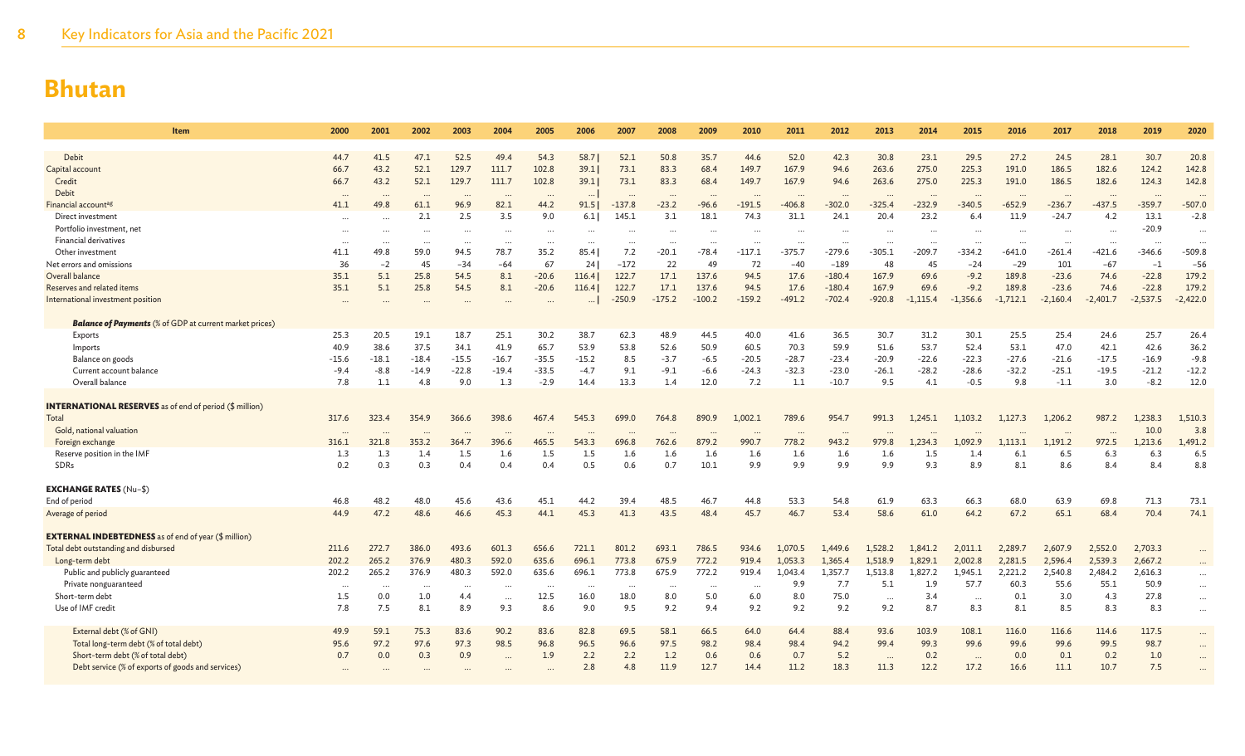| <b>Item</b>                                                    | 2000             | 2001         | 2002         | 2003          | 2004                 | 2005             | 2006             | 2007         | 2008         | 2009         | 2010          | 2011                  | 2012         | 2013          | 2014          | 2015          | 2016          | 2017                 | 2018          | 2019          | 2020          |
|----------------------------------------------------------------|------------------|--------------|--------------|---------------|----------------------|------------------|------------------|--------------|--------------|--------------|---------------|-----------------------|--------------|---------------|---------------|---------------|---------------|----------------------|---------------|---------------|---------------|
|                                                                |                  |              |              |               |                      |                  |                  |              |              |              |               |                       |              |               |               |               |               |                      |               |               |               |
| Debit                                                          | 44.7<br>66.7     | 41.5<br>43.2 | 47.1<br>52.1 | 52.5<br>129.7 | 49.4<br>111.7        | 54.3<br>102.8    | 58.7<br>39.1     | 52.1<br>73.1 | 50.8<br>83.3 | 35.7<br>68.4 | 44.6<br>149.7 | 52.0<br>167.9         | 42.3<br>94.6 | 30.8<br>263.6 | 23.1<br>275.0 | 29.5<br>225.3 | 27.2<br>191.0 | 24.5<br>186.5        | 28.1<br>182.6 | 30.7<br>124.2 | 20.8<br>142.8 |
| Capital account<br>Credit                                      | 66.7             | 43.2         | 52.1         | 129.7         | 111.7                | 102.8            | 39.1             | 73.1         | 83.3         | 68.4         | 149.7         | 167.9                 | 94.6         | 263.6         | 275.0         | 225.3         | 191.0         | 186.5                | 182.6         | 124.3         | 142.8         |
| Debit                                                          |                  |              |              |               |                      |                  |                  |              |              |              |               |                       |              |               |               |               |               |                      |               |               |               |
| Financial account <sup>ag</sup>                                | $\cdots$<br>41.1 | 49.8         | <br>61.1     | 96.9          | 82.1                 | $\ddots$<br>44.2 | $\cdots$<br>91.5 | $-137.8$     | $-23.2$      | $-96.6$      | $-191.5$      | $\ddotsc$<br>$-406.8$ | $-302.0$     | $-325.4$      | $-232.9$      | $-340.5$      | $-652.9$      | $\ddots$<br>$-236.7$ | <br>$-437.5$  | $-359.7$      | $-507.0$      |
| Direct investment                                              | $\cdots$         |              | 2.1          | 2.5           | 3.5                  | 9.0              | 6.1              | 145.1        | 3.1          | 18.1         | 74.3          | 31.1                  | 24.1         | 20.4          | 23.2          | 6.4           | 11.9          | $-24.7$              | 4.2           | 13.1          | $-2.8$        |
| Portfolio investment, net                                      | $\cdots$         | $\cdots$     | $\cdots$     | $\cdots$      | $\cdots$             | $\cdots$         | $\cdots$         |              | $\cdots$     | $\ddotsc$    | .             | $\cdots$              |              |               | $\cdots$      |               | $\cdots$      |                      | $\cdots$      | $-20.9$       | $\ddots$      |
| <b>Financial derivatives</b>                                   | $\cdots$         |              | $\cdots$     | $\ddots$      | $\cdots$             | $\cdots$         | $\cdots$         | $\ddotsc$    | $\cdots$     | $\ddotsc$    | $\ddots$      | $\cdots$              |              | $\ddots$      | $\cdots$      |               | $\ddots$      | $\cdots$             | $\cdots$      |               | $\ddots$      |
| Other investment                                               | 41.1             | 49.8         | 59.0         | 94.5          | 78.7                 | 35.2             | 85.4             | 7.2          | $-20.1$      | $-78.4$      | $-117.1$      | $-375.7$              | $-279.6$     | $-305.1$      | $-209.7$      | $-334.2$      | $-641.0$      | $-261.4$             | $-421.6$      | $-346.6$      | $-509.8$      |
| Net errors and omissions                                       | 36               | $-2$         | 45           | $-34$         | $-64$                | 67               | 24               | $-172$       | 22           | 49           | 72            | $-40$                 | $-189$       | 48            | 45            | $-24$         | $-29$         | 101                  | $-67$         | $-1$          | $-56$         |
| Overall balance                                                | 35.1             | 5.1          | 25.8         | 54.5          | 8.1                  | $-20.6$          | 116.4            | 122.7        | 17.1         | 137.6        | 94.5          | 17.6                  | $-180.4$     | 167.9         | 69.6          | $-9.2$        | 189.8         | $-23.6$              | 74.6          | $-22.8$       | 179.2         |
| Reserves and related items                                     | 35.1             | 5.1          | 25.8         | 54.5          | 8.1                  | $-20.6$          | 116.4            | 122.7        | 17.1         | 137.6        | 94.5          | 17.6                  | $-180.4$     | 167.9         | 69.6          | $-9.2$        | 189.8         | $-23.6$              | 74.6          | $-22.8$       | 179.2         |
| International investment position                              |                  |              |              |               |                      |                  | $\cdots$         | $-250.9$     | $-175.2$     | $-100.2$     | $-159.2$      | $-491.2$              | $-702.4$     | $-920.8$      | $-1,115.4$    | $-1,356.6$    | $-1,712.1$    | $-2,160.4$           | $-2,401.7$    | $-2,537.5$    | $-2,422.0$    |
| <b>Balance of Payments</b> (% of GDP at current market prices) |                  |              |              |               |                      |                  |                  |              |              |              |               |                       |              |               |               |               |               |                      |               |               |               |
| Exports                                                        | 25.3             | 20.5         | 19.1         | 18.7          | 25.1                 | 30.2             | 38.7             | 62.3         | 48.9         | 44.5         | 40.0          | 41.6                  | 36.5         | 30.7          | 31.2          | 30.1          | 25.5          | 25.4                 | 24.6          | 25.7          | 26.4          |
| Imports                                                        | 40.9             | 38.6         | 37.5         | 34.1          | 41.9                 | 65.7             | 53.9             | 53.8         | 52.6         | 50.9         | 60.5          | 70.3                  | 59.9         | 51.6          | 53.7          | 52.4          | 53.1          | 47.0                 | 42.1          | 42.6          | 36.2          |
| Balance on goods                                               | $-15.6$          | $-18.1$      | $-18.4$      | $-15.5$       | $-16.7$              | $-35.5$          | $-15.2$          | 8.5          | $-3.7$       | $-6.5$       | $-20.5$       | $-28.7$               | $-23.4$      | $-20.9$       | $-22.6$       | $-22.3$       | $-27.6$       | $-21.6$              | $-17.5$       | $-16.9$       | $-9.8$        |
| Current account balance                                        | $-9.4$           | $-8.8$       | $-14.9$      | $-22.8$       | $-19.4$              | $-33.5$          | $-4.7$           | 9.1          | $-9.1$       | $-6.6$       | $-24.3$       | $-32.3$               | $-23.0$      | $-26.1$       | $-28.2$       | $-28.6$       | $-32.2$       | $-25.1$              | $-19.5$       | $-21.2$       | $-12.2$       |
| Overall balance                                                | 7.8              | 1.1          | 4.8          | 9.0           | 1.3                  | $-2.9$           | 14.4             | 13.3         | 1.4          | 12.0         | 7.2           | 1.1                   | $-10.7$      | 9.5           | 4.1           | $-0.5$        | 9.8           | $-1.1$               | 3.0           | $-8.2$        | 12.0          |
|                                                                |                  |              |              |               |                      |                  |                  |              |              |              |               |                       |              |               |               |               |               |                      |               |               |               |
| <b>INTERNATIONAL RESERVES</b> as of end of period (\$ million) |                  |              |              |               |                      |                  |                  |              |              |              |               |                       |              |               |               |               |               |                      |               |               |               |
| Total                                                          | 317.6            | 323.4        | 354.9        | 366.6         | 398.6                | 467.4            | 545.3            | 699.0        | 764.8        | 890.9        | 1,002.1       | 789.6                 | 954.7        | 991.3         | 1,245.1       | 1,103.2       | 1,127.3       | 1,206.2              | 987.2         | 1,238.3       | 1,510.3       |
| Gold, national valuation                                       | $\cdots$         |              |              |               | $\ddotsc$            | $\cdots$         | $\cdots$         |              |              |              | $\cdot \cdot$ | $\cdots$              |              |               |               |               |               | $\cdots$             |               | 10.0          | 3.8           |
| Foreign exchange                                               | 316.1            | 321.8        | 353.2        | 364.7         | 396.6                | 465.5            | 543.3            | 696.8        | 762.6        | 879.2        | 990.7         | 778.2                 | 943.2        | 979.8         | 1,234.3       | 1,092.9       | 1,113.1       | 1,191.2              | 972.5         | 1,213.6       | 1,491.2       |
| Reserve position in the IMF<br>SDRs                            | 1.3<br>0.2       | 1.3<br>0.3   | 1.4<br>0.3   | 1.5<br>0.4    | 1.6<br>0.4           | 1.5<br>0.4       | 1.5<br>0.5       | 1.6<br>0.6   | 1.6<br>0.7   | 1.6<br>10.1  | 1.6<br>9.9    | 1.6<br>9.9            | 1.6<br>9.9   | 1.6<br>9.9    | 1.5<br>9.3    | 1.4<br>8.9    | 6.1<br>8.1    | 6.5<br>8.6           | 6.3<br>8.4    | 6.3<br>8.4    | 6.5<br>8.8    |
|                                                                |                  |              |              |               |                      |                  |                  |              |              |              |               |                       |              |               |               |               |               |                      |               |               |               |
| <b>EXCHANGE RATES (Nu-\$)</b>                                  |                  |              |              |               |                      |                  |                  |              |              |              |               |                       |              |               |               |               |               |                      |               |               |               |
| End of period                                                  | 46.8             | 48.2         | 48.0         | 45.6          | 43.6                 | 45.1             | 44.2             | 39.4         | 48.5         | 46.7         | 44.8          | 53.3                  | 54.8         | 61.9          | 63.3          | 66.3          | 68.0          | 63.9                 | 69.8          | 71.3          | 73.1          |
| Average of period                                              | 44.9             | 47.2         | 48.6         | 46.6          | 45.3                 | 44.1             | 45.3             | 41.3         | 43.5         | 48.4         | 45.7          | 46.7                  | 53.4         | 58.6          | 61.0          | 64.2          | 67.2          | 65.1                 | 68.4          | 70.4          | 74.1          |
| <b>EXTERNAL INDEBTEDNESS</b> as of end of year (\$ million)    |                  |              |              |               |                      |                  |                  |              |              |              |               |                       |              |               |               |               |               |                      |               |               |               |
| Total debt outstanding and disbursed                           | 211.6            | 272.7        | 386.0        | 493.6         | 601.3                | 656.6            | 721.1            | 801.2        | 693.1        | 786.5        | 934.6         | 1,070.5               | 1.449.6      | 1,528.2       | 1,841.2       | 2,011.1       | 2,289.7       | 2,607.9              | 2,552.0       | 2,703.3       |               |
| Long-term debt                                                 | 202.2            | 265.2        | 376.9        | 480.3         | 592.0                | 635.6            | 696.1            | 773.8        | 675.9        | 772.2        | 919.4         | 1.053.3               | 1,365.4      | 1,518.9       | 1,829.1       | 2,002.8       | 2,281.5       | 2,596.4              | 2,539.3       | 2,667.2       |               |
| Public and publicly guaranteed                                 | 202.2            | 265.2        | 376.9        | 480.3         | 592.0                | 635.6            | 696.1            | 773.8        | 675.9        | 772.2        | 919.4         | 1,043.4               | 1,357.7      | 1,513.8       | 1,827.2       | 1,945.1       | 2,221.2       | 2,540.8              | 2,484.2       | 2,616.3       | $\cdots$      |
| Private nonguaranteed                                          | $\cdots$         | $\ddotsc$    | $\cdots$     | $\ddotsc$     | $\ddot{\phantom{a}}$ | $\ddots$         | $\cdots$         | $\cdots$     | $\cdots$     | $\ddotsc$    | $\cdots$      | 9.9                   | 7.7          | 5.1           | 1.9           | 57.7          | 60.3          | 55.6                 | 55.1          | 50.9          | $\cdots$      |
| Short-term debt                                                | 1.5              | 0.0          | 1.0          | 4.4           | $\cdots$             | 12.5             | 16.0             | 18.0         | 8.0          | 5.0          | 6.0           | 8.0                   | 75.0         | $\ddots$      | 3.4           |               | 0.1           | 3.0                  | 4.3           | 27.8          | $\cdots$      |
| Use of IMF credit                                              | 7.8              | 7.5          | 8.1          | 8.9           | 9.3                  | 8.6              | 9.0              | 9.5          | 9.2          | 9.4          | 9.2           | 9.2                   | 9.2          | 9.2           | 8.7           | 8.3           | 8.1           | 8.5                  | 8.3           | 8.3           | $\ddotsc$     |
|                                                                |                  |              |              |               |                      |                  |                  |              |              |              |               |                       |              |               |               |               |               |                      |               |               |               |
| External debt (% of GNI)                                       | 49.9             | 59.1         | 75.3         | 83.6          | 90.2                 | 83.6             | 82.8             | 69.5         | 58.1         | 66.5         | 64.0          | 64.4                  | 88.4         | 93.6          | 103.9         | 108.1         | 116.0         | 116.6                | 114.6         | 117.5         | $\cdots$      |
| Total long-term debt (% of total debt)                         | 95.6             | 97.2         | 97.6         | 97.3          | 98.5                 | 96.8             | 96.5             | 96.6         | 97.5         | 98.2         | 98.4          | 98.4                  | 94.2         | 99.4          | 99.3          | 99.6          | 99.6          | 99.6                 | 99.5          | 98.7          |               |
| Short-term debt (% of total debt)                              | 0.7              | 0.0          | 0.3          | 0.9           |                      | 1.9              | 2.2              | 2.2          | 1.2          | 0.6          | 0.6           | 0.7                   | 5.2          | $\cdots$      | 0.2           | $\cdots$      | 0.0           | 0.1                  | 0.2           | 1.0           | $\ddotsc$     |
| Debt service (% of exports of goods and services)              |                  |              |              |               |                      |                  | 2.8              | 4.8          | 11.9         | 12.7         | 14.4          | 11.2                  | 18.3         | 11.3          | 12.2          | 17.2          | 16.6          | 11.1                 | 10.7          | 7.5           |               |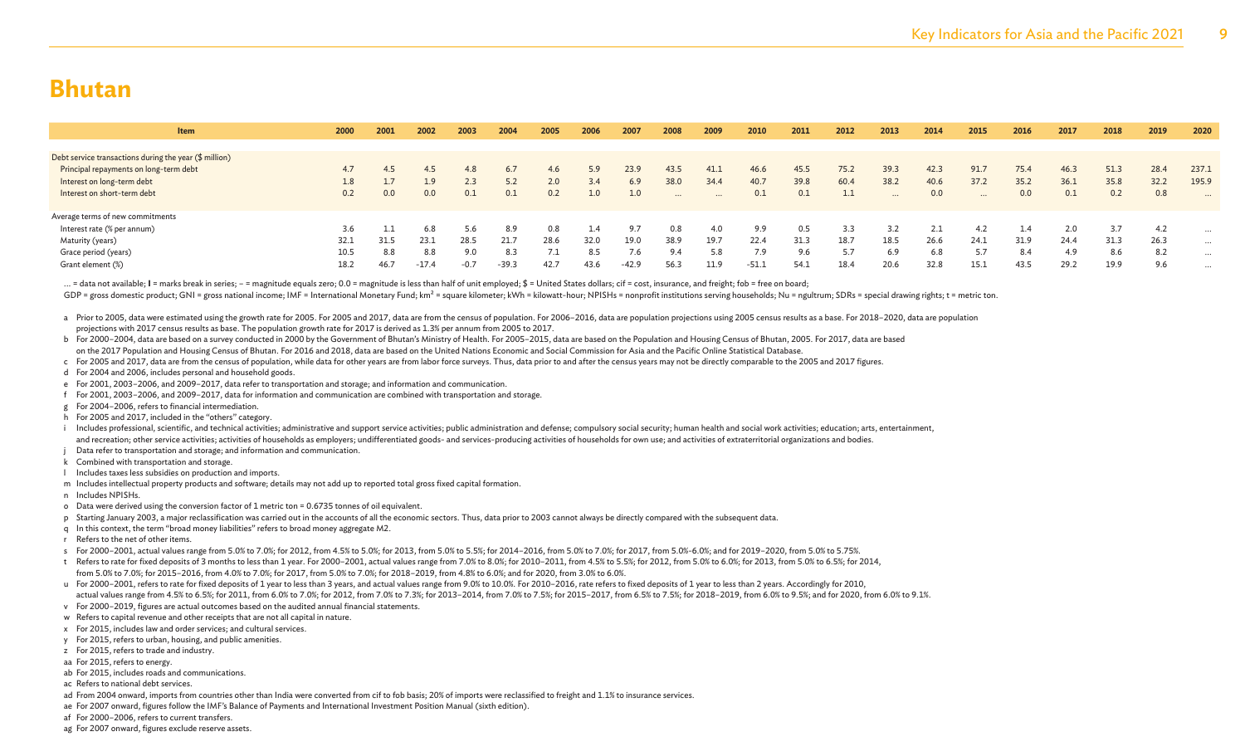| <b>Item</b>                                            | 2000 | 2001    | 2002    | 2003   | 2004    | 2005  | 2006 | 2007    | 2008     | 2009     | 2010  | 2011 | 2012 | 2013     | 2014 | 2015     | 2016 | 2017 | 2018 | 2019 | 2020     |
|--------------------------------------------------------|------|---------|---------|--------|---------|-------|------|---------|----------|----------|-------|------|------|----------|------|----------|------|------|------|------|----------|
|                                                        |      |         |         |        |         |       |      |         |          |          |       |      |      |          |      |          |      |      |      |      |          |
| Debt service transactions during the year (\$ million) |      |         |         |        |         |       |      |         |          |          |       |      |      |          |      |          |      |      |      |      |          |
| Principal repayments on long-term debt                 | 4.7  | 4.5     | 4.5     | 4.8    |         | 4.6   | 5.9  | 23.9    | 43.5     | 41.1     | 46.6  | 45.5 | 75.2 | 39.3     | 42.3 | 91.7     | 75.4 | 46.3 | 51.3 | 28.4 | 237.1    |
| Interest on long-term debt                             | 1.8  |         | 1.9     | 2.3    |         | 2.0   | 3.4  | 6.9     | 38.0     | 34.4     | 40.7  | 39.8 | 60.4 | 38.2     | 40.6 | 37.2     | 35.2 | 36.1 | 35.8 | 32.2 | 195.9    |
| Interest on short-term debt                            | 0.2  | $0.0\,$ | 0.0     |        |         | 0.2   | 1.0  | 1.0     | $\cdots$ | $\cdots$ | 0.1   | 0.1  | 1.1  | $\cdots$ | 0.0  | $\cdots$ | 0.0  | 0.1  | 0.2  | 0.8  | $\cdots$ |
|                                                        |      |         |         |        |         |       |      |         |          |          |       |      |      |          |      |          |      |      |      |      |          |
| Average terms of new commitments                       |      |         |         |        |         |       |      |         |          |          |       |      |      |          |      |          |      |      |      |      |          |
| Interest rate (% per annum)                            | 3.6  |         | 6.8     | 5.6    | 8.9     | 0.8   | 1.4  | 9.7     | 0.8      | 4.0      | 9.9   | 0.5  | 3.3  | 3.2      | 2.1  | 4.2      | 1.4  |      | 3.7  | 4.2  | $\cdots$ |
| Maturity (years)                                       | 32.1 | 31.5    | 23.1    | 28.5   | 21.7    | 28.6  | 32.0 | 19.0    | 38.9     | 19.7     | 22.4  | 31.3 | 18.7 | 18.5     | 26.6 | 24.1     | 31.9 | 24.4 | 31.3 | 26.3 | $\cdots$ |
| Grace period (years)                                   | 10.5 | 8.8     | 8.8     | 9.0    | 8.3     | $-11$ | 8.5  |         | 9.4      | 5.8      | 7.9   | 9.6  | 5.7  | 6.9      | 6.8  | 5.7      | 8.4  | 4.9  | 8.6  | 8.2  | $\cdots$ |
| Grant element (%)                                      | 18.2 | 46.7    | $-17.4$ | $-0.7$ | $-39.3$ | 42.7  | 43.6 | $-42.9$ | 56.3     | 11.9     | -51.1 | 54.1 | 18.4 | 20.6     | 32.8 | 15.1     | 43.5 | 29.2 | 19.9 | 9.6  | $\cdots$ |
|                                                        |      |         |         |        |         |       |      |         |          |          |       |      |      |          |      |          |      |      |      |      |          |

... = data not available; I = marks break in series; - = magnitude equals zero; 0.0 = magnitude is less than half of unit employed;  $\oint$  = United States dollars; cif = cost, insurance, and freight; fob = free on board;

GDP = gross domestic product; GNI = gross national income; IMF = International Monetary Fund; km<sup>2</sup> = square kilometer; kWh = kilowatt-hour; NPISHs = nonprofit institutions serving households; Nu = ngultrum; SDRs = special

- a Prior to 2005, data were estimated using the growth rate for 2005. For 2005 and 2017, data are from the census of population. For 2006-2016, data are population projections using 2005 census results as a base. For 2018-2 projections with 2017 census results as base. The population growth rate for 2017 is derived as 1.3% per annum from 2005 to 2017.
- b For 2000–2004, data are based on a survey conducted in 2000 by the Government of Bhutan's Ministry of Health. For 2005–2015, data are based on the Population and Housing Census of Bhutan, 2005. For 2017, data are based on the 2017 Population and Housing Census of Bhutan. For 2016 and 2018, data are based on the United Nations Economic and Social Commission for Asia and the Pacific Online Statistical Database.
- c For 2005 and 2017, data are from the census of population, while data for other years are from labor force surveys. Thus, data prior to and after the census years may not be directly comparable to the 2005 and 2017 figur
- d For 2004 and 2006, includes personal and household goods.
- e For 2001, 2003–2006, and 2009–2017, data refer to transportation and storage; and information and communication.
- f For 2001, 2003–2006, and 2009–2017, data for information and communication are combined with transportation and storage.
- g For 2004–2006, refers to financial intermediation.
- h For 2005 and 2017, included in the "others" category.
- i Includes professional, scientific, and technical activities; administrative and support service activities; public administration and defense; compulsory social security; human health and social work activities; educatio and recreation; other service activities; activities of households as employers; undifferentiated goods- and services-producing activities of households for own use; and activities of extraterritorial organizations and bod
- Data refer to transportation and storage; and information and communication.
- k Combined with transportation and storage.
- l Includes taxes less subsidies on production and imports.
- m Includes intellectual property products and software; details may not add up to reported total gross fixed capital formation.
- n Includes NPISHs.
- o Data were derived using the conversion factor of 1 metric ton = 0.6735 tonnes of oil equivalent.
- p Starting January 2003, a major reclassification was carried out in the accounts of all the economic sectors. Thus, data prior to 2003 cannot always be directly compared with the subsequent data.
- q In this context, the term "broad money liabilities" refers to broad money aggregate M2.
- r Refers to the net of other items.
- s For 2000-2001, actual values range from 5.0% to 7.0%; for 2012, from 4.5% to 5.0%; for 2013, from 5.0% to 5.5%; for 2014-2016, from 5.0% to 7.0%; for 2019-2020, from 5.0% to 5.75%.
- t Refers to rate for fixed deposits of 3 months to less than 1 year. For 2000-2001, actual values range from 7.0% to 8.0%; for 2010-2011, from 4.5% to 5.5%; for 2012, from 5.0% to 6.0%; for 2013, from 5.0% to 6.5%; for 201
- from 5.0% to 7.0%; for 2015–2016, from 4.0% to 7.0%; for 2017, from 5.0% to 7.0%; for 2018–2019, from 4.8% to 6.0%; and for 2020, from 3.0% to 6.0%.
- u For 2000-2001, refers to rate for fixed deposits of 1 year to less than 3 years, and actual values range from 9.0% to 10.0%. For 2010-2016, rate refers to fixed deposits of 1 year to less than 2 years. Accordingly for 20
- actual values range from 4.5% to 6.5%; for 2011, from 6.0% to 7.0%; for 2012, from 7.0% to 7.3%; for 2013-2014, from 7.0% to 7.5%; for 2012, from 6.5% to 7.5%; for 2010, from 6.0% to 7.8%; for 2012, from 5.9% to 9.1%.
- v For 2000–2019, figures are actual outcomes based on the audited annual financial statements.
- w Refers to capital revenue and other receipts that are not all capital in nature.
- x For 2015, includes law and order services; and cultural services.
- y For 2015, refers to urban, housing, and public amenities.
- z For 2015, refers to trade and industry.
- aa For 2015, refers to energy.
- ab For 2015, includes roads and communications.
- ac Refers to national debt services.
- ad From 2004 onward, imports from countries other than India were converted from cif to fob basis; 20% of imports were reclassified to freight and 1.1% to insurance services.
- ae For 2007 onward, figures follow the IMF's Balance of Payments and International Investment Position Manual (sixth edition).
- af For 2000–2006, refers to current transfers.
- ag For 2007 onward, figures exclude reserve assets.